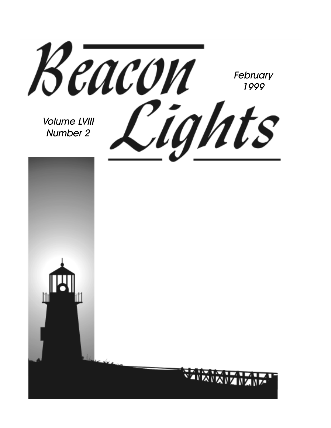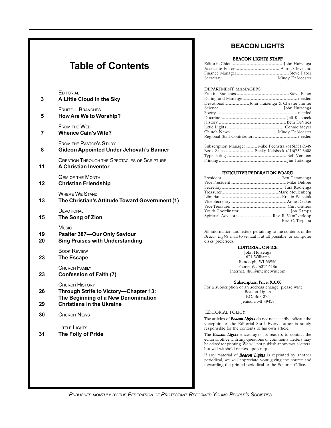### **Table of Contents**

| 3        | <b>EDITORIAL</b><br>A Little Cloud in the Sky                                          |
|----------|----------------------------------------------------------------------------------------|
| 5        | <b>FRUITFUL BRANCHES</b><br><b>How Are We to Worship?</b>                              |
| 7        | <b>FROM THE WEB</b><br><b>Whence Cain's Wife?</b>                                      |
| 8        | <b>FROM THE PASTOR'S STUDY</b><br><b>Gideon Appointed Under Jehovah's Banner</b>       |
| 11       | <b>CREATION THROUGH THE SPECTACLES OF SCRIPTURE</b><br><b>A Christian Inventor</b>     |
| 12       | <b>GEM OF THE MONTH</b><br><b>Christian Friendship</b>                                 |
| 13       | <b>WHERE WE STAND</b><br>The Christian's Attitude Toward Government (1)                |
| 15       | DEVOTIONAL<br>The Song of Zion                                                         |
| 19<br>20 | Music<br><b>Psalter 387-Our Only Saviour</b><br><b>Sing Praises with Understanding</b> |
| 23       | <b>BOOK REVIEW</b><br><b>The Escape</b>                                                |
| 23       | CHURCH FAMILY<br><b>Confession of Faith (7)</b>                                        |
| 26       | <b>CHURCH HISTORY</b><br>Through Strife to Victory-Chapter 13:                         |
| 29       | The Beginning of a New Denomination<br><b>Christians in the Ukraine</b>                |
| 30       | <b>CHURCH NEWS</b>                                                                     |
| 31       | LITTLE LIGHTS<br>The Folly of Pride                                                    |
|          |                                                                                        |

#### **BEACON LIGHTS**

#### BEACON LIGHTS STAFF

#### DEPARTMENT MANAGERS

| Subscription Manager  Mike Feenstra (616)531-2349 |  |
|---------------------------------------------------|--|
|                                                   |  |
|                                                   |  |
|                                                   |  |

#### EXECUTIVE FEDERATION BOARD

| Rev. C. Terpstra |
|------------------|
|                  |

All information and letters pertaining to the contents of the *Beacon Lights* mail to (e-mail if at all possible, or computer disks preferred):

#### EDITORIAL OFFICE

John Huizenga 621 Williams Randolph, WI 53956 Phone: (920)326-6186 Internet: jhui@internetwis.com

#### Subscription Price: \$10.00

For a subscription or an address change, please write: Beacon Lights P.O. Box 375 Jenison, MI 49428

#### EDITORIAL POLICY

The articles of *Beacon Lights* do not necessarily indicate the viewpoint of the Editorial Staff. Every author is solely responsible for the contents of his own article.

The *Beacon Lights* encourages its readers to contact the editorial office with any questions or comments. Letters may be edited for printing. We will not publish anonymous letters, but will withhold names upon request.

If any material of *Beacon Lights* is reprinted by another periodical, we will appreciate your giving the source and forwarding the printed periodical to the Editorial Office.

*PUBLISHED MONTHLY BY THE FEDERATION OF PROTESTANT REFORMED YOUNG PEOPLE'S SOCIETIES*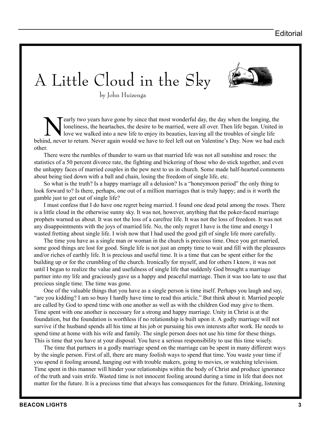# A Little Cloud in the Sky

by John Huizenga

early two years have gone by since that most wonderful day, the day when the longing, the loneliness, the heartaches, the desire to be married, were all over. Then life began. United is love we walked into a new life to en loneliness, the heartaches, the desire to be married, were all over. Then life began. United in behind, never to return. Never again would we have to feel left out on Valentine's Day. Now we had each other.

There were the rumbles of thunder to warn us that married life was not all sunshine and roses: the statistics of a 50 percent divorce rate, the fighting and bickering of those who do stick together, and even the unhappy faces of married couples in the pew next to us in church. Some made half-hearted comments about being tied down with a ball and chain, losing the freedom of single life, etc.

So what is the truth? Is a happy marriage all a delusion? Is a "honeymoon period" the only thing to look forward to? Is there, perhaps, one out of a million marriages that is truly happy; and is it worth the gamble just to get out of single life?

I must confess that I do have one regret being married. I found one dead petal among the roses. There is a little cloud in the otherwise sunny sky. It was not, however, anything that the poker-faced marriage prophets warned us about. It was not the loss of a carefree life. It was not the loss of freedom. It was not any disappointments with the joys of married life. No, the only regret I have is the time and energy I wasted fretting about single life. I wish now that I had used the good gift of single life more carefully.

The time you have as a single man or woman in the church is precious time. Once you get married, some good things are lost for good. Single life is not just an empty time to wait and fill with the pleasures and/or riches of earthly life. It is precious and useful time. It is a time that can be spent either for the building up or for the crumbling of the church. Ironically for myself, and for others I know, it was not until I began to realize the value and usefulness of single life that suddenly God brought a marriage partner into my life and graciously gave us a happy and peaceful marriage. Then it was too late to use that precious single time. The time was gone.

One of the valuable things that you have as a single person is time itself. Perhaps you laugh and say, "are you kidding? I am so busy I hardly have time to read this article." But think about it. Married people are called by God to spend time with one another as well as with the children God may give to them. Time spent with one another is necessary for a strong and happy marriage. Unity in Christ is at the foundation, but the foundation is worthless if no relationship is built upon it. A godly marriage will not survive if the husband spends all his time at his job or pursuing his own interests after work. He needs to spend time at home with his wife and family. The single person does not use his time for these things. This is time that you have at your disposal. You have a serious responsibility to use this time wisely.

The time that partners in a godly marriage spend on the marriage can be spent in many different ways by the single person. First of all, there are many foolish ways to spend that time. You waste your time if you spend it fooling around, hanging out with trouble makers, going to movies, or watching television. Time spent in this manner will hinder your relationships within the body of Christ and produce ignorance of the truth and vain strife. Wasted time is not innocent fooling around during a time in life that does not matter for the future. It is a precious time that always has consequences for the future. Drinking, listening

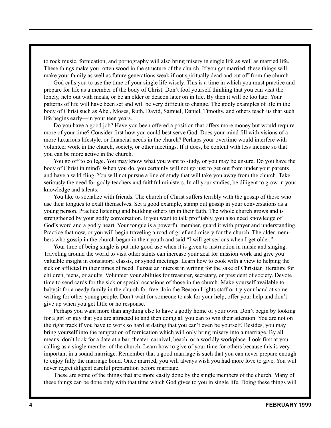to rock music, fornication, and pornography will also bring misery in single life as well as married life. These things make you rotten wood in the structure of the church. If you get married, these things will make your family as well as future generations weak if not spiritually dead and cut off from the church.

God calls you to use the time of your single life wisely. This is a time in which you must practice and prepare for life as a member of the body of Christ. Don't fool yourself thinking that you can visit the lonely, help out with meals, or be an elder or deacon later on in life. By then it will be too late. Your patterns of life will have been set and will be very difficult to change. The godly examples of life in the body of Christ such as Abel, Moses, Ruth, David, Samuel, Daniel, Timothy, and others teach us that such life begins early—in your teen years.

Do you have a good job? Have you been offered a position that offers more money but would require more of your time? Consider first how you could best serve God. Does your mind fill with visions of a more luxurious lifestyle, or financial needs in the church? Perhaps your overtime would interfere with volunteer work in the church, society, or other meetings. If it does, be content with less income so that you can be more active in the church.

You go off to college. You may know what you want to study, or you may be unsure. Do you have the body of Christ in mind? When you do, you certainly will not go just to get out from under your parents and have a wild fling. You will not pursue a line of study that will take you away from the church. Take seriously the need for godly teachers and faithful ministers. In all your studies, be diligent to grow in your knowledge and talents.

You like to socialize with friends. The church of Christ suffers terribly with the gossip of those who use their tongues to exalt themselves. Set a good example, stamp out gossip in your conversations as a young person. Practice listening and building others up in their faith. The whole church grows and is strengthened by your godly conversation. If you want to talk profitably, you also need knowledge of God's word and a godly heart. Your tongue is a powerful member, guard it with prayer and understanding. Practice that now, or you will begin traveling a road of grief and misery for the church. The older members who gossip in the church began in their youth and said "I will get serious when I get older."

Your time of being single is put into good use when it is given to instruction in music and singing. Traveling around the world to visit other saints can increase your zeal for mission work and give you valuable insight in consistory, classis, or synod meetings. Learn how to cook with a view to helping the sick or afflicted in their times of need. Pursue an interest in writing for the sake of Christian literature for children, teens, or adults. Volunteer your abilities for treasurer, secretary, or president of society. Devote time to send cards for the sick or special occasions of those in the church. Make yourself available to babysit for a needy family in the church for free. Join the Beacon Lights staff or try your hand at some writing for other young people. Don't wait for someone to ask for your help, offer your help and don't give up when you get little or no response.

Perhaps you want more than anything else to have a godly home of your own. Don't begin by looking for a girl or guy that you are attracted to and then doing all you can to win their attention. You are not on the right track if you have to work so hard at dating that you can't even be yourself. Besides, you may bring yourself into the temptation of fornication which will only bring misery into a marriage. By all means, don't look for a date at a bar, theater, carnival, beach, or a worldly workplace. Look first at your calling as a single member of the church. Learn how to give of your time for others because this is very important in a sound marriage. Remember that a good marriage is such that you can never prepare enough to enjoy fully the marriage bond. Once married, you will always wish you had more love to give. You will never regret diligent careful preparation before marriage.

These are some of the things that are more easily done by the single members of the church. Many of these things can be done only with that time which God gives to you in single life. Doing these things will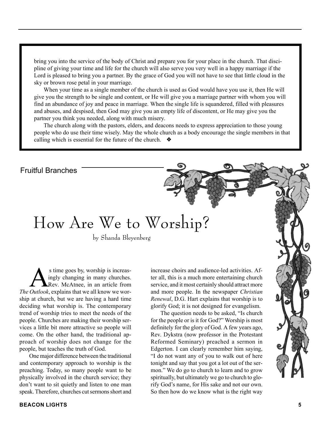bring you into the service of the body of Christ and prepare you for your place in the church. That discipline of giving your time and life for the church will also serve you very well in a happy marriage if the Lord is pleased to bring you a partner. By the grace of God you will not have to see that little cloud in the sky or brown rose petal in your marriage.

When your time as a single member of the church is used as God would have you use it, then He will give you the strength to be single and content, or He will give you a marriage partner with whom you will find an abundance of joy and peace in marriage. When the single life is squandered, filled with pleasures and abuses, and despised, then God may give you an empty life of discontent, or He may give you the partner you think you needed, along with much misery.

The church along with the pastors, elders, and deacons needs to express appreciation to those young people who do use their time wisely. May the whole church as a body encourage the single members in that calling which is essential for the future of the church. ❖

Fruitful Branches

### How Are We to Worship?

by Shanda Bleyenberg

s time goes by, worship is increas-<br>ingly changing in many churches.<br>Quilook explains that we all know we were ingly changing in many churches. Rev. McAtnee, in an article from *The Outlook*, explains that we all know we worship at church, but we are having a hard time deciding what worship is. The contemporary trend of worship tries to meet the needs of the people. Churches are making their worship services a little bit more attractive so people will come. On the other hand, the traditional approach of worship does not change for the people, but teaches the truth of God.

One major difference between the traditional and contemporary approach to worship is the preaching. Today, so many people want to be physically involved in the church service; they don't want to sit quietly and listen to one man speak. Therefore, churches cut sermons short and

increase choirs and audience-led activities. After all, this is a much more entertaining church service, and it most certainly should attract more and more people. In the newspaper *Christian Renewal*, D.G. Hart explains that worship is to glorify God; it is not designed for evangelism.

The question needs to be asked, "Is church for the people or is it for God?" Worship is most definitely for the glory of God. A few years ago, Rev. Dykstra (now professor in the Protestant Reformed Seminary) preached a sermon in Edgerton. I can clearly remember him saying, "I do not want any of you to walk out of here tonight and say that you got a lot out of the sermon." We do go to church to learn and to grow spiritually, but ultimately we go to church to glorify God's name, for His sake and not our own. So then how do we know what is the right way

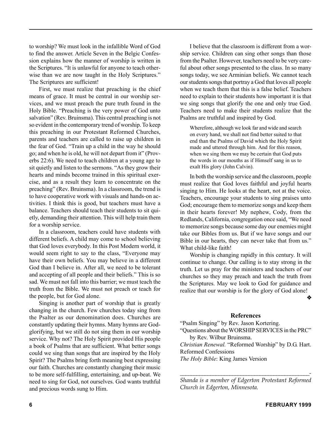to worship? We must look in the infallible Word of God to find the answer. Article Seven in the Belgic Confession explains how the manner of worship is written in the Scriptures. "It is unlawful for anyone to teach otherwise than we are now taught in the Holy Scriptures." The Scriptures are sufficient!

First, we must realize that preaching is the chief means of grace. It must be central in our worship services, and we must preach the pure truth found in the Holy Bible. "Preaching is the very power of God unto salvation" (Rev. Bruinsma). This central preaching is not so evident in the contemporary trend of worship. To keep this preaching in our Protestant Reformed Churches, parents and teachers are called to raise up children in the fear of God. "Train up a child in the way he should go; and when he is old, he will not depart from it" (Proverbs 22:6). We need to teach children at a young age to sit quietly and listen to the sermons. "As they grow their hearts and minds become trained in this spiritual exercise, and as a result they learn to concentrate on the preaching" (Rev. Bruinsma). In a classroom, the trend is to have cooperative work with visuals and hands-on activities. I think this is good, but teachers must have a balance. Teachers should teach their students to sit quietly, demanding their attention. This will help train them for a worship service.

In a classroom, teachers could have students with different beliefs. A child may come to school believing that God loves everybody. In this Post Modern world, it would seem right to say to the class, "Everyone may have their own beliefs. You may believe in a different God than I believe in. After all, we need to be tolerant and accepting of all people and their beliefs." This is so sad. We must not fall into this barrier; we must teach the truth from the Bible. We must not preach or teach for the people, but for God alone.

Singing is another part of worship that is greatly changing in the church. Few churches today sing from the Psalter as our denomination does. Churches are constantly updating their hymns. Many hymns are Godglorifying, but we still do not sing them in our worship service. Why not? The Holy Spirit provided His people a book of Psalms that are sufficient. What better songs could we sing than songs that are inspired by the Holy Spirit? The Psalms bring forth meaning best expressing our faith. Churches are constantly changing their music to be more self-fulfilling, entertaining, and up-beat. We need to sing for God, not ourselves. God wants truthful and precious words sung to Him.

I believe that the classroom is different from a worship service. Children can sing other songs than those from the Psalter. However, teachers need to be very careful about other songs presented to the class. In so many songs today, we see Arminian beliefs. We cannot teach our students songs that portray a God that loves all people when we teach them that this is a false belief. Teachers need to explain to their students how important it is that we sing songs that glorify the one and only true God. Teachers need to make their students realize that the Psalms are truthful and inspired by God.

Wherefore, although we look far and wide and search on every hand, we shall not find better suited to that end than the Psalms of David which the Holy Spirit made and uttered through him. And for this reason, when we sing them we may be certain that God puts the words in our mouths as if Himself sang in us to exalt His glory (John Calvin).

In both the worship service and the classroom, people must realize that God loves faithful and joyful hearts singing to Him. He looks at the heart, not at the voice. Teachers, encourage your students to sing praises unto God; encourage them to memorize songs and keep them in their hearts forever! My nephew, Cody, from the Redlands, California, congregation once said, "We need to memorize songs because some day our enemies might take our Bibles from us. But if we have songs and our Bible in our hearts, they can never take that from us." What child-like faith!

Worship is changing rapidly in this century. It will continue to change. Our calling is to stay strong in the truth. Let us pray for the ministers and teachers of our churches so they may preach and teach the truth from the Scriptures. May we look to God for guidance and realize that our worship is for the glory of God alone!

❖

#### **References**

"Psalm Singing" by Rev. Jason Kortering. "Questions about the WORSHIP SERVICES in the PRC"

by Rev. Wilbur Bruinsma.

*Christian Renewal.* "Reformed Worship" by D.G. Hart. Reformed Confessions

*The Holy Bible*: King James Version

*\_\_\_\_\_\_\_\_\_\_\_\_\_\_\_\_\_\_\_\_\_\_\_\_\_\_\_\_\_\_\_\_\_\_\_\_\_\_\_\_\_\_\_\_\_\_\_- Shanda is a member of Edgerton Protestant Reformed Church in Edgerton, Minnesota.*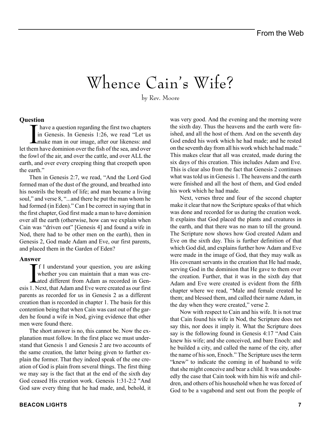## Whence Cain's Wife?

by Rev. Moore

#### **Question**

have a question regarding the first two chapters<br>in Genesis. In Genesis 1:26, we read "Let us<br>make man in our image, after our likeness: and<br>let them have dominion over the fish of the sea, and over have a question regarding the first two chapters in Genesis. In Genesis 1:26, we read "Let us make man in our image, after our likeness: and the fowl of the air, and over the cattle, and over ALL the earth, and over every creeping thing that creepeth upon the earth."

Then in Genesis 2:7, we read, "And the Lord God formed man of the dust of the ground, and breathed into his nostrils the breath of life; and man became a living soul," and verse 8, "...and there he put the man whom he had formed (in Eden)." Can I be correct in saying that in the first chapter, God first made a man to have dominion over all the earth (otherwise, how can we explain when Cain was "driven out" [Genesis 4] and found a wife in Nod, there had to be other men on the earth), then in Genesis 2, God made Adam and Eve, our first parents, and placed them in the Garden of Eden?

#### **Answer**

If I understand your question, you are asking<br>whether you can maintain that a man was cre-<br>ated different from Adam as recorded in Genf I understand your question, you are asking whether you can maintain that a man was creesis 1. Next, that Adam and Eve were created as our first parents as recorded for us in Genesis 2 as a different creation than is recorded in chapter 1. The basis for this contention being that when Cain was cast out of the garden he found a wife in Nod, giving evidence that other men were found there.

The short answer is no, this cannot be. Now the explanation must follow. In the first place we must understand that Genesis 1 and Genesis 2 are two accounts of the same creation, the latter being given to further explain the former. That they indeed speak of the one creation of God is plain from several things. The first thing we may say is the fact that at the end of the sixth day God ceased His creation work. Genesis 1:31-2:2 "And God saw every thing that he had made, and, behold, it was very good. And the evening and the morning were the sixth day. Thus the heavens and the earth were finished, and all the host of them. And on the seventh day God ended his work which he had made; and he rested on the seventh day from all his work which he had made." This makes clear that all was created, made during the six days of this creation. This includes Adam and Eve. This is clear also from the fact that Genesis 2 continues what was told us in Genesis 1. The heavens and the earth were finished and all the host of them, and God ended his work which he had made. Next, verses three and four of the second chapter

make it clear that now the Scripture speaks of that which was done and recorded for us during the creation week. It explains that God placed the plants and creatures in the earth, and that there was no man to till the ground. The Scripture now shows how God created Adam and Eve on the sixth day. This is further definition of that which God did, and explains further how Adam and Eve were made in the image of God, that they may walk as His covenant servants in the creation that He had made, serving God in the dominion that He gave to them over the creation. Further, that it was in the sixth day that Adam and Eve were created is evident from the fifth chapter where we read, "Male and female created he them; and blessed them, and called their name Adam, in the day when they were created," verse 2.

Now with respect to Cain and his wife. It is not true that Cain found his wife in Nod, the Scripture does not say this, nor does it imply it. What the Scripture does say is the following found in Genesis 4:17 "And Cain knew his wife; and she conceived, and bare Enoch: and he builded a city, and called the name of the city, after the name of his son, Enoch." The Scripture uses the term "knew" to indicate the coming in of husband to wife that she might conceive and bear a child. It was undoubtedly the case that Cain took with him his wife and children, and others of his household when he was forced of God to be a vagabond and sent out from the people of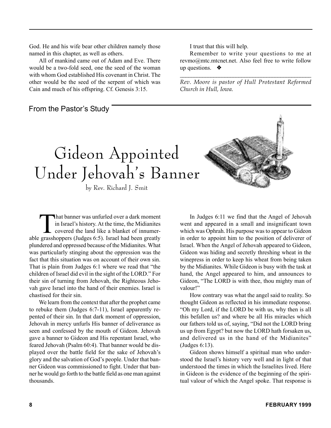God. He and his wife bear other children namely those named in this chapter, as well as others.

All of mankind came out of Adam and Eve. There would be a two-fold seed, one the seed of the woman with whom God established His covenant in Christ. The other would be the seed of the serpent of which was Cain and much of his offspring. Cf. Genesis 3:15.

#### From the Pastor's Study

I trust that this will help.

Remember to write your questions to me at revmo@mtc.mtcnet.net. Also feel free to write follow up questions. ❖

*\_\_\_\_\_\_\_\_\_\_\_\_\_\_\_\_\_\_\_\_\_\_\_\_\_\_\_\_\_\_\_\_\_\_\_\_\_\_\_\_\_\_\_\_\_\_\_ Rev. Moore is pastor of Hull Protestant Reformed Church in Hull, Iowa.*



by Rev. Richard J. Smit

That banner was unfurled over a dark moment<br>in Israel's history. At the time, the Midianites<br>covered the land like a blanket of innumer-<br>greeshoppers (Judges 6:5), Israel had been greetly in Israel's history. At the time, the Midianites able grasshoppers (Judges 6:5). Israel had been greatly plundered and oppressed because of the Midianites. What was particularly stinging about the oppression was the fact that this situation was on account of their own sin. That is plain from Judges 6:1 where we read that "the children of Israel did evil in the sight of the LORD." For their sin of turning from Jehovah, the Righteous Jehovah gave Israel into the hand of their enemies. Israel is chastised for their sin.

We learn from the context that after the prophet came to rebuke them (Judges 6:7-11), Israel apparently repented of their sin. In that dark moment of oppression, Jehovah in mercy unfurls His banner of deliverance as seen and confessed by the mouth of Gideon. Jehovah gave a banner to Gideon and His repentant Israel, who feared Jehovah (Psalm 60:4). That banner would be displayed over the battle field for the sake of Jehovah's glory and the salvation of God's people. Under that banner Gideon was commissioned to fight. Under that banner he would go forth to the battle field as one man against thousands.

In Judges 6:11 we find that the Angel of Jehovah went and appeared in a small and insignificant town which was Ophrah. His purpose was to appear to Gideon in order to appoint him to the position of deliverer of Israel. When the Angel of Jehovah appeared to Gideon, Gideon was hiding and secretly threshing wheat in the winepress in order to keep his wheat from being taken by the Midianites. While Gideon is busy with the task at hand, the Angel appeared to him, and announces to Gideon, "The LORD is with thee, thou mighty man of valour!"

How contrary was what the angel said to reality. So thought Gideon as reflected in his immediate response. "Oh my Lord, if the LORD be with us, why then is all this befallen us? and where be all His miracles which our fathers told us of, saying, "Did not the LORD bring us up from Egypt? but now the LORD hath forsaken us, and delivered us in the hand of the Midianites" (Judges 6:13).

Gideon shows himself a spiritual man who understood the Israel's history very well and in light of that understood the times in which the Israelites lived. Here in Gideon is the evidence of the beginning of the spiritual valour of which the Angel spoke. That response is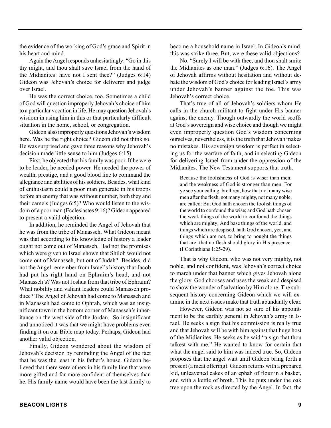the evidence of the working of God's grace and Spirit in his heart and mind.

Again the Angel responds unhesitatingly: "Go in this thy might, and thou shalt save Israel from the hand of the Midianites: have not I sent thee?" (Judges 6:14) Gideon was Jehovah's choice for deliverer and judge over Israel.

He was the correct choice, too. Sometimes a child of God will question improperly Jehovah's choice of him to a particular vocation in life. He may question Jehovah's wisdom in using him in this or that particularly difficult situation in the home, school, or congregation.

Gideon also improperly questions Jehovah's wisdom here. Was he the right choice? Gideon did not think so. He was surprised and gave three reasons why Jehovah's decision made little sense to him (Judges 6:15).

First, he objected that his family was poor. If he were to be leader, he needed power. He needed the power of wealth, prestige, and a good blood line to command the allegiance and abilities of his soldiers. Besides, what kind of enthusiasm could a poor man generate in his troops before an enemy that was without number, both they and their camels (Judges 6:5)? Who would listen to the wisdom of a poor man (Ecclesiastes 9:16)? Gideon appeared to present a valid objection.

In addition, he reminded the Angel of Jehovah that he was from the tribe of Manasseh. What Gideon meant was that according to his knowledge of history a leader ought not come out of Manasseh. Had not the promises which were given to Israel shown that Shiloh would not come out of Manasseh, but out of Judah? Besides, did not the Angel remember from Israel's history that Jacob had put his right hand on Ephraim's head, and not Manasseh's? Was not Joshua from that tribe of Ephraim? What nobility and valiant leaders could Manasseh produce? The Angel of Jehovah had come to Manasseh and in Manasseh had come to Ophrah, which was an insignificant town in the bottom corner of Manasseh's inheritance on the west side of the Jordan. So insignificant and unnoticed it was that we might have problems even finding it on our Bible map today. Perhaps, Gideon had another valid objection.

Finally, Gideon wondered about the wisdom of Jehovah's decision by reminding the Angel of the fact that he was the least in his father's house. Gideon believed that there were others in his family line that were more gifted and far more confident of themselves than he. His family name would have been the last family to

become a household name in Israel. In Gideon's mind, this was strike three. But, were these valid objections?

No. "Surely I will be with thee, and thou shalt smite the Midianites as one man." (Judges 6:16). The Angel of Jehovah affirms without hesitation and without debate the wisdom of God's choice for leading Israel's army under Jehovah's banner against the foe. This was Jehovah's correct choice.

That's true of all of Jehovah's soldiers whom He calls in the church militant to fight under His banner against the enemy. Though outwardly the world scoffs at God's sovereign and wise choice and though we might even improperly question God's wisdom concerning ourselves, nevertheless, it is the truth that Jehovah makes no mistakes. His sovereign wisdom is perfect in selecting us for the warfare of faith, and in selecting Gideon for delivering Israel from under the oppression of the Midianites. The New Testament supports that truth.

Because the foolishness of God is wiser than men; and the weakness of God is stronger than men. For ye see your calling, brethren, how that not many wise men after the flesh, not many mighty, not many noble, are called: But God hath chosen the foolish things of the world to confound the wise; and God hath chosen the weak things of the world to confound the things which are mighty; And base things of the world, and things which are despised, hath God chosen, yea, and things which are not, to bring to nought the things that are: that no flesh should glory in His presence. (I Corinthians 1:25-29).

That is why Gideon, who was not very mighty, not noble, and not confident, was Jehovah's correct choice to march under that banner which gives Jehovah alone the glory. God chooses and uses the weak and despised to show the wonder of salvation by Him alone. The subsequent history concerning Gideon which we will examine in the next issues make that truth abundantly clear.

However, Gideon was not so sure of his appointment to be the earthly general in Jehovah's army in Israel. He seeks a sign that his commission is really true and that Jehovah will be with him against that huge host of the Midianites. He seeks as he said "a sign that thou talkest with me." He wanted to know for certain that what the angel said to him was indeed true. So, Gideon proposes that the angel wait until Gideon bring forth a present (a meat offering). Gideon returns with a prepared kid, unleavened cakes of an ephah of flour in a basket, and with a kettle of broth. This he puts under the oak tree upon the rock as directed by the Angel. In fact, the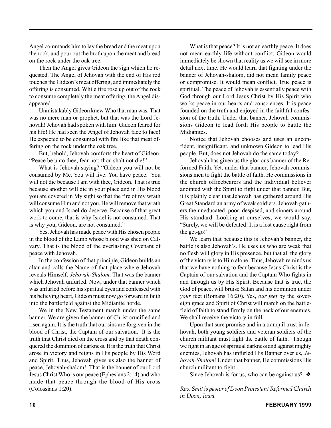Angel commands him to lay the bread and the meat upon the rock, and pour out the broth upon the meat and bread on the rock under the oak tree.

Then the Angel gives Gideon the sign which he requested. The Angel of Jehovah with the end of His rod touches the Gideon's meat offering, and immediately the offering is consumed. While fire rose up out of the rock to consume completely the meat offering, the Angel disappeared.

Unmistakably Gideon knew Who that man was. That was no mere man or prophet, but that was the Lord Jehovah! Jehovah had spoken with him. Gideon feared for his life! He had seen the Angel of Jehovah face to face! He expected to be consumed with fire like that meat offering on the rock under the oak tree.

But, behold, Jehovah comforts the heart of Gideon, "Peace be unto thee; fear not: thou shalt not die!"

What is Jehovah saying? "Gideon you will not be consumed by Me. You will live. You have peace. You will not die because I am with thee, Gideon. That is true because another will die in your place and in His blood you are covered in My sight so that the fire of my wrath will consume Him and not you. He will remove that wrath which you and Israel do deserve. Because of that great work to come, that is why Israel is not consumed. That is why you, Gideon, are not consumed."

Yes, Jehovah has made peace with His chosen people in the blood of the Lamb whose blood was shed on Calvary. That is the blood of the everlasting Covenant of peace with Jehovah.

In the confession of that principle, Gideon builds an altar and calls the Name of that place where Jehovah reveals Himself, *Jehovah-Shalom***.** That was the banner which Jehovah unfurled. Now, under that banner which was unfurled before his spiritual eyes and confessed with his believing heart, Gideon must now go forward in faith into the battlefield against the Midianite horde.

We in the New Testament march under the same banner. We are given the banner of Christ crucified and risen again. It is the truth that our sins are forgiven in the blood of Christ, the Captain of our salvation. It is the truth that Christ died on the cross and by that death conquered the dominion of darkness. It is the truth that Christ arose in victory and reigns in His people by His Word and Spirit. Thus, Jehovah gives us also the banner of peace, Jehovah-shalom! That is the banner of our Lord Jesus Christ Who is our peace (Ephesians 2:14) and who made that peace through the blood of His cross (Colossians 1:20).

What is that peace? It is not an earthly peace. It does not mean earthly life without conflict. Gideon would immediately be shown that reality as we will see in more detail next time. He would learn that fighting under the banner of Jehovah-shalom, did not mean family peace or compromise. It would mean conflict. True peace is spiritual. The peace of Jehovah is essentially peace with God through our Lord Jesus Christ by His Spirit who works peace in our hearts and consciences. It is peace founded on the truth and enjoyed in the faithful confession of the truth. Under that banner, Jehovah commissions Gideon to lead forth His people to battle the **Midianites** 

Notice that Jehovah chooses and uses an unconfident, insignificant, and unknown Gideon to lead His people. But, does not Jehovah do the same today?

Jehovah has given us the glorious banner of the Reformed Faith. Yet, under that banner, Jehovah commissions men to fight the battle of faith. He commissions in the church officebearers and the individual believer anointed with the Spirit to fight under that banner. But, it is plainly clear that Jehovah has gathered around His Great Standard an army of weak soldiers. Jehovah gathers the uneducated, poor, despised, and sinners around His standard. Looking at ourselves, we would say, "Surely, we will be defeated! It is a lost cause right from the get-go!"

We learn that because this is Jehovah's banner, the battle is also Jehovah's. He uses us who are weak that no flesh will glory in His presence, but that all the glory of the victory is to Him alone. Thus, Jehovah reminds us that we have nothing to fear because Jesus Christ is the Captain of our salvation and the Captain Who fights in and through us by His Spirit. Because that is true, the God of peace, will bruise Satan and his dominion under *your* feet (Romans 16:20). Yes, *our feet* by the sovereign grace and Spirit of Christ will march on the battlefield of faith to stand firmly on the neck of our enemies. We shall receive the victory in full.

Upon that sure promise and in a tranquil trust in Jehovah, both young soldiers and veteran soldiers of the church militant must fight the battle of faith. Though we fight in an age of spiritual darkness and against mighty enemies, Jehovah has unfurled His Banner over us, *Jehovah-Shalom*! Under that banner, He commissions His church militant to fight.

Since Jehovah is for us, who can be against us?  $\triangleleft$ 

*\_\_\_\_\_\_\_\_\_\_\_\_\_\_\_\_\_\_\_\_\_\_\_\_\_\_\_\_\_\_\_\_\_\_\_\_\_\_\_\_\_\_\_\_\_\_\_\_ Rev. Smit is pastor of Doon Protestant Reformed Church in Doon, Iowa.*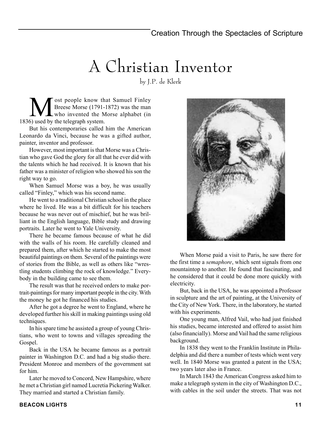## A Christian Inventor

by J.P. de Klerk

Message State of the Samuel Finley<br>Breese Morse (1791-1872) was the man<br>Sused by the telegraph system Breese Morse (1791-1872) was the man who invented the Morse alphabet (in 1836) used by the telegraph system.

But his contemporaries called him the American Leonardo da Vinci, because he was a gifted author, painter, inventor and professor.

However, most important is that Morse was a Christian who gave God the glory for all that he ever did with the talents which he had received. It is known that his father was a minister of religion who showed his son the right way to go.

When Samuel Morse was a boy, he was usually called "Finley," which was his second name.

He went to a traditional Christian school in the place where he lived. He was a bit difficult for his teachers because he was never out of mischief, but he was brilliant in the English language, Bible study and drawing portraits. Later he went to Yale University.

There he became famous because of what he did with the walls of his room. He carefully cleaned and prepared them, after which he started to make the most beautiful paintings on them. Several of the paintings were of stories from the Bible, as well as others like "wrestling students climbing the rock of knowledge." Everybody in the building came to see them.

The result was that he received orders to make portrait-paintings for many important people in the city. With the money he got he financed his studies.

After he got a degree he went to England, where he developed further his skill in making paintings using old techniques.

In his spare time he assisted a group of young Christians, who went to towns and villages spreading the Gospel.

Back in the USA he became famous as a portrait painter in Washington D.C. and had a big studio there. President Monroe and members of the government sat for him.

Later he moved to Concord, New Hampshire, where he met a Christian girl named Lucretia Pickering Walker. They married and started a Christian family.



When Morse paid a visit to Paris, he saw there for the first time a *semaphore*, which sent signals from one mountaintop to another. He found that fascinating, and he considered that it could be done more quickly with electricity.

But, back in the USA, he was appointed a Professor in sculpture and the art of painting, at the University of the City of New York. There, in the laboratory, he started with his experiments.

One young man, Alfred Vail, who had just finished his studies, became interested and offered to assist him (also financially). Morse and Vail had the same religious background.

In 1838 they went to the Franklin Institute in Philadelphia and did there a number of tests which went very well. In 1840 Morse was granted a patent in the USA; two years later also in France.

In March 1843 the American Congress asked him to make a telegraph system in the city of Washington D.C., with cables in the soil under the streets. That was not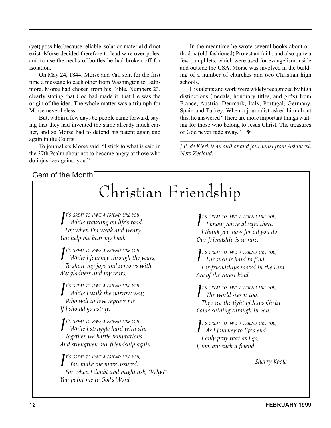(yet) possible, because reliable isolation material did not exist. Morse decided therefore to lead wire over poles, and to use the necks of bottles he had broken off for isolation.

On May 24, 1844, Morse and Vail sent for the first time a message to each other from Washington to Baltimore. Morse had chosen from his Bible, Numbers 23, clearly stating that God had made it, that He was the origin of the idea. The whole matter was a triumph for Morse nevertheless

But, within a few days 62 people came forward, saying that they had invented the same already much earlier, and so Morse had to defend his patent again and again in the Courts.

To journalists Morse said, "I stick to what is said in the 37th Psalm about not to become angry at those who do injustice against you."

### Gem of the Month

In the meantime he wrote several books about orthodox (old-fashioned) Protestant faith, and also quite a few pamphlets, which were used for evangelism inside and outside the USA. Morse was involved in the building of a number of churches and two Christian high schools.

His talents and work were widely recognized by high distinctions (medals, honorary titles, and gifts) from France, Austria, Denmark, Italy, Portugal, Germany, Spain and Turkey. When a journalist asked him about this, he answered "There are more important things waiting for those who belong to Jesus Christ. The treasures of God never fade away." ❖

*\_\_\_\_\_\_\_\_\_\_\_\_\_\_\_\_\_\_\_\_\_\_\_\_\_\_\_\_\_\_\_\_\_\_\_\_\_\_\_\_\_\_\_\_\_\_\_\_\_ J.P. de Klerk is an author and journalist from Ashhurst, New Zeeland.*

## Christian Friendship

*I T'S GREAT TO HAVE <sup>A</sup> FRIEND LIKE YOU While traveling on life's road, For when I'm weak and weary You help me bear my load.*

*I*<sup>T's GREAT TO HAVE A FRIEND LIKE YOU<br>While I journey through the years,</sup> *T'S GREAT TO HAVE <sup>A</sup> FRIEND LIKE YOU To share my joys and sorrows with, My gladness and my tears.*

*I*<sup>T's GREAT TO HAVE A FRIEND LIKE YOU<br> *While I walk the narrow way,*</sup> *T'S GREAT TO HAVE <sup>A</sup> FRIEND LIKE YOU Who will in love reprove me If I should go astray.*

*I*<sup>t's GREAT TO HAVE A FRIEND LIKE YOU<br>While I struggle hard with sin.</sup> *T'S GREAT TO HAVE <sup>A</sup> FRIEND LIKE YOU Together we battle temptations And strengthen our friendship again.*

*I T'S GREAT TO HAVE <sup>A</sup> FRIEND LIKE YOU, You make me more assured, For when I doubt and might ask, "Why?" You point me to God's Word.*

*I*<sup>T's GREAT TO HAVE A FRIEND LIKE YOUR **I** know you're always there.</sup> *T'S GREAT TO HAVE <sup>A</sup> FRIEND LIKE YOU, I thank you now for all you do Our friendship is so rare.*

*I<sup>T's</sup>* GREAT TO HAVE A FRIEND LIKE<br>For such is hard to find. *T'S GREAT TO HAVE <sup>A</sup> FRIEND LIKE YOU, For friendships rooted in the Lord Are of the rarest kind.*

*I T'S GREAT TO HAVE <sup>A</sup> FRIEND LIKE YOU, The world sees it too, They see the light of Jesus Christ Come shining through in you.*

*I T'S GREAT TO HAVE <sup>A</sup> FRIEND LIKE YOU, As I journey to life's end. I only pray that as I go, I, too, am such a friend.*

*—Sherry Koole*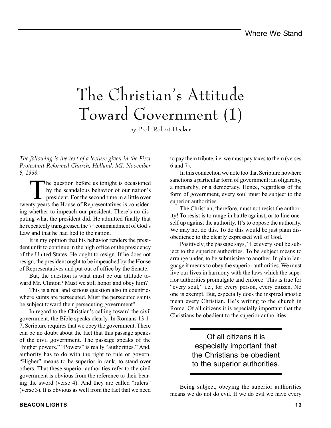## The Christian's Attitude Toward Government (1)

by Prof. Robert Decker

*The following is the text of a lecture given in the First Protestant Reformed Church, Holland, MI, November 6, 1998.*

The question before us tonight is occasioned<br>by the scandalous behavior of our nation's<br>president. For the second time in a little over by the scandalous behavior of our nation's president. For the second time in a little over twenty years the House of Representatives is considering whether to impeach our president. There's no disputing what the president did. He admitted finally that he repeatedly transgressed the 7<sup>th</sup> commandment of God's Law and that he had lied to the nation.

It is my opinion that his behavior renders the president unfit to continue in the high office of the presidency of the United States. He ought to resign. If he does not resign, the president ought to be impeached by the House of Representatives and put out of office by the Senate.

But, the question is what must be our attitude toward Mr. Clinton? Must we still honor and obey him?

This is a real and serious question also in countries where saints are persecuted. Must the persecuted saints be subject toward their persecuting government?

In regard to the Christian's calling toward the civil government, the Bible speaks clearly. In Romans 13:1- 7, Scripture requires that we obey the government. There can be no doubt about the fact that this passage speaks of the civil government. The passage speaks of the "higher powers." "Powers" is really "authorities." And, authority has to do with the right to rule or govern. "Higher" means to be superior in rank, to stand over others. That these superior authorities refer to the civil government is obvious from the reference to their bearing the sword (verse 4). And they are called "rulers" (verse 3). It is obvious as well from the fact that we need

to pay them tribute, i.e. we must pay taxes to them (verses 6 and 7).

In this connection we note too that Scripture nowhere sanctions a particular form of government: an oligarchy, a monarchy, or a democracy. Hence, regardless of the form of government, every soul must be subject to the superior authorities.

The Christian, therefore, must not resist the authority! To resist is to range in battle against, or to line oneself up against the authority. It's to oppose the authority. We may not do this. To do this would be just plain disobedience to the clearly expressed will of God.

Positively, the passage says, "Let every soul be subject to the superior authorities. To be subject means to arrange under, to be submissive to another. In plain language it means to obey the superior authorities. We must live our lives in harmony with the laws which the superior authorities promulgate and enforce. This is true for "every soul," i.e., for every person, every citizen. No one is exempt. But, especially does the inspired apostle mean every Christian. He's writing to the church in Rome. Of all citizens it is especially important that the Christians be obedient to the superior authorities.

> Of all citizens it is especially important that the Christians be obedient to the superior authorities.

Being subject, obeying the superior authorities means we do not do evil. If we do evil we have every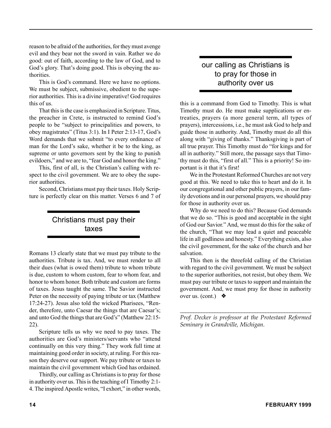reason to be afraid of the authorities, for they must avenge evil and they bear not the sword in vain. Rather we do good: out of faith, according to the law of God, and to God's glory. That's doing good. This is obeying the authorities.

This is God's command. Here we have no options. We must be subject, submissive, obedient to the superior authorities. This is a divine imperative! God requires this of us.

That this is the case is emphasized in Scripture. Titus, the preacher in Crete, is instructed to remind God's people to be "subject to principalities and powers, to obey magistrates" (Titus 3:1). In I Peter 2:13-17, God's Word demands that we submit "to every ordinance of man for the Lord's sake, whether it be to the king, as supreme or unto governors sent by the king to punish evildoers," and we are to, "fear God and honor the king."

This, first of all, is the Christian's calling with respect to the civil government. We are to obey the superior authorities.

Second, Christians must pay their taxes. Holy Scripture is perfectly clear on this matter. Verses 6 and 7 of

### Christians must pay their taxes

Romans 13 clearly state that we must pay tribute to the authorities. Tribute is tax. And, we must render to all their dues (what is owed them) tribute to whom tribute is due, custom to whom custom, fear to whom fear, and honor to whom honor. Both tribute and custom are forms of taxes. Jesus taught the same. The Savior instructed Peter on the necessity of paying tribute or tax (Matthew 17:24-27). Jesus also told the wicked Pharisees, "Render, therefore, unto Caesar the things that are Caesar's; and unto God the things that are God's" (Matthew 22:15- 22).

Scripture tells us why we need to pay taxes. The authorities are God's ministers/servants who "attend continually on this very thing." They work full time at maintaining good order in society, at ruling. For this reason they deserve our support. We pay tribute or taxes to maintain the civil government which God has ordained.

Thirdly, our calling as Christians is to pray for those in authority over us. This is the teaching of I Timothy 2:1- 4. The inspired Apostle writes, "I exhort," in other words,

### our calling as Christians is to pray for those in authority over us

this is a command from God to Timothy. This is what Timothy must do. He must make supplications or entreaties, prayers (a more general term, all types of prayers), intercessions, i.e., he must ask God to help and guide those in authority. And, Timothy must do all this along with "giving of thanks." Thanksgiving is part of all true prayer. This Timothy must do "for kings and for all in authority." Still more, the passage says that Timothy must do this, "first of all." This is a priority! So important is it that it's first!

We in the Protestant Reformed Churches are not very good at this. We need to take this to heart and do it. In our congregational and other public prayers, in our family devotions and in our personal prayers, we should pray for those in authority over us.

Why do we need to do this? Because God demands that we do so. "This is good and acceptable in the sight of God our Savior." And, we must do this for the sake of the church, "That we may lead a quiet and peaceable life in all godliness and honesty." Everything exists, also the civil government, for the sake of the church and her salvation.

This then is the threefold calling of the Christian with regard to the civil government. We must be subject to the superior authorities, not resist, but obey them. We must pay our tribute or taxes to support and maintain the government. And, we must pray for those in authority over us. (cont.)  $\bullet$ 

*\_\_\_\_\_\_\_\_\_\_\_\_\_\_\_\_\_\_\_\_\_\_\_\_\_\_\_\_\_\_\_\_\_\_\_\_\_\_\_\_\_\_\_\_\_\_\_\_\_ Prof. Decker is professor at the Protestant Reformed Seminary in Grandville, Michigan.*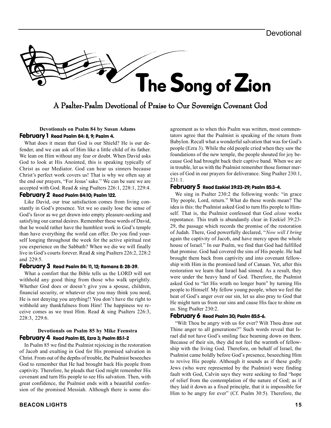

### A Psalter-Psalm Devotional of Praise to Our Sovereign Covenant God

#### **Devotionals on Psalm 84 by Susan Adams** February 1 Read Psalm 84: 8, 9; Psalm 4.

What does it mean that God is our Shield? He is our defender, and we can ask of Him like a little child of its father. We lean on Him without any fear or doubt. When David asks God to look at His Anointed, this is speaking typically of Christ as our Mediator. God can hear us sinners because Christ's perfect work covers us! That is why we often say at the end our prayers, "For Jesus' sake." We can be sure we are accepted with God. Read & sing Psalters 226:1, 228:1, 229:4.

#### February 2 Read Psalm 84:10; Psalm 122.

Like David, our true satisfaction comes from living constantly in God's presence. Yet we so easily lose the sense of God's favor as we get drawn into empty pleasure-seeking and satisfying our carnal desires. Remember these words of David, that he would rather have the humblest work in God's temple than have everything the world can offer. Do you find yourself longing throughout the week for the active spiritual rest you experience on the Sabbath? When we die we will finally live in God's courts forever. Read & sing Psalters 226:2, 228:2 and 229:5.

#### February 3 Read Psalm 84: 11, 12; Romans 8: 28-39.

What a comfort that the Bible tells us the LORD will not withhold any good thing from those who walk uprightly. Whether God does or doesn't give you a spouse, children, financial security, or whatever else you may think you need, He is not denying you anything!! You don't have the right to withhold any thankfulness from Him! The happiness we receive comes as we trust Him. Read & sing Psalters 226:3, 228:3, 229:6.

#### **Devotionals on Psalm 85 by Mike Feenstra** February 4 Read Psalm 85, Ezra 3; Psalm 85:1-2

In Psalm 85 we find the Psalmist rejoicing in the restoration of Jacob and exulting in God for His promised salvation in Christ. From out of the depths of trouble, the Psalmist beseeches God to remember that He had brought back His people from captivity. Therefore, he pleads that God might remember His covenant and turn His people to see His salvation. Then, with great confidence, the Psalmist ends with a beautiful confession of the promised Messiah. Although there is some dis-

**BEACON LIGHTS 15**

agreement as to when this Psalm was written, most commentators agree that the Psalmist is speaking of the return from Babylon. Recall what a wonderful salvation that was for God's people (Ezra 3). While the old people cried when they saw the foundations of the new temple, the people shouted for joy because God had brought back their captive band. When we are in trouble, let us with the Psalmist remember those former mercies of God in our prayers for deliverance. Sing Psalter 230:1, 231:1.

#### February 5 Read Ezekiel 39:23-29; Psalm 85:3-4.

We sing in Psalter 230:2 the following words: "in grace Thy people, Lord, return." What do these words mean? The idea is this: the Psalmist asked God to turn His people to Himself. That is, the Psalmist confessed that God *alone* works repentance. This truth is abundantly clear in Ezekiel 39:23- 29, the passage which records the promise of the restoration of Judah. There, God powerfully declared, "*Now will I bring* again the captivity of Jacob, and have mercy upon the whole house of Israel." In our Psalm, we find that God had fulfilled that promise. God had covered the sins of His people. He had brought them back from captivity and into covenant fellowship with Him in the promised land of Canaan. Yet, after this restoration we learn that Israel had sinned. As a result, they were under the heavy hand of God. Therefore, the Psalmist asked God to "let His wrath no longer burn" by turning His people to Himself. My fellow young people, when we feel the heat of God's anger over our sin, let us also pray to God that He might turn us from our sins and cause His face to shine on us. Sing Psalter 230:2.

#### February 6 Read Psalm 30; Psalm 85:5-6.

"Wilt Thou be angry with us for ever? Wilt Thou draw out Thine anger to all generations?" Such words reveal that Israel did not have God's smiling face beaming down on them. Because of their sin, they did not feel the warmth of fellowship with the living God. Therefore, on behalf of Israel, the Psalmist came boldly before God's presence, beseeching Him to revive His people. Although it sounds as if these godly Jews (who were represented by the Psalmist) were finding fault with God, Calvin says they were seeking to find "hope of relief from the contemplation of the nature of God; as if they laid it down as a fixed principle, that it is impossible for Him to be angry for ever" (Cf. Psalm 30:5). Therefore, the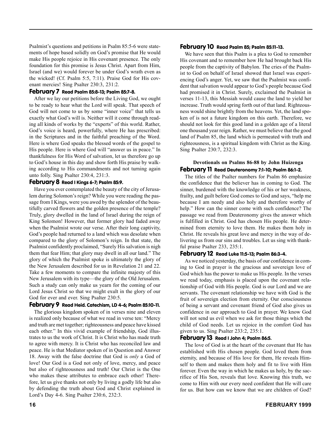Psalmist's questions and petitions in Psalm 85:5-6 were statements of hope based solidly on God's promise that He would make His people rejoice in His covenant presence. The only foundation for this promise is Jesus Christ. Apart from Him, Israel (and we) would forever be under God's wrath even as the wicked! (Cf. Psalm 5:5, 7:11). Praise God for His covenant mercies! Sing Psalter 230:3, 231:2.

#### February 7 Read Psalm 85:8-13; Psalm 85:7-8.

After we lay our petitions before the Living God, we ought to be ready to hear what the Lord will speak. That speech of God will not come to us by some "inner voice" that tells us exactly what God's will is. Neither will it come through reading all kinds of works by the "experts" of this world. Rather, God's voice is heard, powerfully, where He has prescribed: in the Scriptures and in the faithful preaching of the Word. Here is where God speaks the blessed words of the gospel to His people. Here is where God will "answer us in peace." In thankfulness for His Word of salvation, let us therefore go up to God's house in this day and show forth His praise by walking according to His commandments and not turning again unto folly. Sing Psalter 230:4, 231:3.

#### February 8 Read I Kings 6-7; Psalm 85:9.

Have you ever contemplated the beauty of the city of Jerusalem during Solomon's reign? While you were reading the passage from I Kings, were you awed by the splendor of the beautifully carved flowers and the golden presence of the temple? Truly, glory dwelled in the land of Israel during the reign of King Solomon! However, that former glory had faded away when the Psalmist wrote our verse. After their long captivity, God's people had returned to a land which was desolate when compared to the glory of Solomon's reign. In that state, the Psalmist confidently proclaimed, "Surely His salvation is nigh them that fear Him; that glory may dwell in all our land." The glory of which the Psalmist spoke is ultimately the glory of the New Jerusalem described for us in Revelation 21 and 22. Take a few moments to compare the infinite majesty of this New Jerusalem with its type—the glory of the Old Jerusalem. Such a study can only make us yearn for the coming of our Lord Jesus Christ so that we might exult in the glory of our God for ever and ever. Sing Psalter 230:5.

#### February 9 Read Heid. Catechism, LD 4-6; Psalm 85:10-11.

The glorious kingdom spoken of in verses nine and eleven is realized only because of what we read in verse ten: "Mercy and truth are met together; righteousness and peace have kissed each other." In this vivid example of friendship, God illustrates to us the work of Christ. It is Christ who has made truth to agree with mercy. It is Christ who has reconciled law and peace. He is that Mediator spoken of in Question and Answer 18. Away with the false doctrine that God is *only* a God of love! Our God is a God not only of love, mercy, and peace but also of righteousness and truth! Our Christ is the One who makes these attributes to embrace each other! Therefore, let us give thanks not only by living a godly life but also by defending the truth about God and Christ explained in Lord's Day 4-6. Sing Psalter 230:6, 232:3.

#### February 10 Read Psalm 85; Psalm 85:11-13.

We have seen that this Psalm is a plea to God to remember His covenant and to remember how He had brought back His people from the captivity of Babylon. The cries of the Psalmist to God on behalf of Israel showed that Israel was experiencing God's anger. Yet, we saw that the Psalmist was confident that salvation would appear to God's people because God had promised it in Christ. Surely, exclaimed the Psalmist in verses 11-13, this Messiah would cause the land to yield her increase. Truth would spring forth out of that land. Righteousness would shine brightly from the heavens. Yet, the land spoken of is not a future kingdom on this earth. Therefore, we should not look for this good land in a golden age of a literal one thousand year reign. Rather, we must believe that the good land of Psalm 85, the land which is permeated with truth and righteousness, is a spiritual kingdom with Christ as the King. Sing Psalter 230:7, 232:3.

#### **Devotionals on Psalms 86-88 by John Huizenga** February 11 Read Deuteronomy 7:1-10; Psalm 86:1-2.

The titles of the Psalter numbers for Psalm 86 emphasize the confidence that the believer has in coming to God. The sinner, burdened with the knowledge of his or her weakness, frailty, and guilt before God comes to God and says, "help me because I am needy and also holy and therefore worthy of help." How can the sinner come with such confidence? The passage we read from Deuteronomy gives the answer which is fulfilled in Christ. God has chosen His people. He determined from eternity to love them. He makes them holy in Christ. He reveals his great love and mercy in the way of delivering us from our sins and troubles. Let us sing with thankful praise Psalter 233, 235:1.

#### February 12 Read Luke 11:5-13; Psalm 86:3-4.

As we noticed yesterday, the basis of our confidence in coming to God in prayer is the gracious and sovereign love of God which has the power to make us His people. In the verses we read today, emphasis is placed upon the covenant relationship of God with His people. God is our Lord and we are servants. The covenant relationship we have with God is the fruit of sovereign election from eternity. Our consciousness of being a servant and covenant friend of God also gives us confidence in our approach to God in prayer. We know God will not send us evil when we ask for those things which the child of God needs. Let us rejoice in the comfort God has given to us. Sing Psalter 233:2, 235:1.

#### February 13 Read I John 4; Psalm 86:5.

The love of God is at the heart of the covenant that He has established with His chosen people. God loved them from eternity, and because of His love for them, He reveals Himself to them and makes them holy and fit to live with Him forever. Even the way in which he makes us holy, by the sacrifice of His Son, reveals that love. Knowing this truth, we come to Him with our every need confident that He will care for us. But how can we know that we are children of God?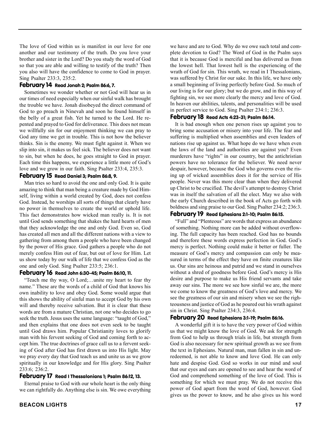The love of God within us is manifest in our love for one another and our testimony of the truth. Do you love your brother and sister in the Lord? Do you study the word of God so that you are able and willing to testify of the truth? Then you also will have the confidence to come to God in prayer. Sing Psalter 233:3, 235:2.

#### February 14 Read Jonah 2; Psalm 86:6, 7.

Sometimes we wonder whether or not God will hear us in our times of need especially when our sinful walk has brought the trouble we have. Jonah disobeyed the direct command of God to go preach in Ninevah and soon he found himself in the belly of a great fish. Yet he turned to the Lord. He repented and prayed to God for deliverance. This does not mean we willfully sin for our enjoyment thinking we can pray to God any time we get in trouble. This is not how the believer thinks. Sin is the enemy. We must fight against it. When we slip into sin, it makes us feel sick. The believer does not want to sin, but when he does, he goes straight to God in prayer. Each time this happens, we experience a little more of God's love and we grow in our faith. Sing Psalter 233:4, 235:3.

#### February 15 Read Daniel 3; Psalm 86:8, 9.

Man tries so hard to avoid the one and only God. It is quite amazing to think that man being a creature made by God Himself, living within a world created by God, does not confess God. Instead, he worships all sorts of things that clearly have no power in themselves to create the world or uphold life. This fact demonstrates how wicked man really is. It is not until God sends something that shakes the hard hearts of men that they acknowledge the one and only God. Even so, God has created all men and all the different nations with a view to gathering from among them a people who have been changed by the power of His grace. God gathers a people who do not merely confess Him out of fear, but out of love for Him. Let us show today by our walk of life that we confess God as the one and only God. Sing Psalter 233:5; 236:1.

#### February 16 Read John 6:30-45; Psalm 86:10, 11.

"Teach me thy way, O Lord;…unite my heart to fear thy name." These are the words of a child of God that knows his own inability to love and obey God. Some would argue that this shows the ability of sinful man to accept God by his own will and thereby receive salvation. But it is clear that these words are from a mature Christian, not one who decides to go seek the truth. Jesus uses the same language: "taught of God," and then explains that one does not even seek to be taught until God draws him. Popular Christianity loves to glorify man with his fervent seeking of God and coming forth to accept him. The true doctrines of grace call us to a fervent seeking of God after God has first drawn us into His light. May we pray every day that God teach us and unite us as we grow spiritually in our knowledge and for His glory. Sing Psalter 233:6; 236:2.

#### February 17 Read I Thessalonians 1; Psalm 86:12, 13.

Eternal praise to God with our whole heart is the only thing we can rightfully do. Anything else is sin. We owe everything we have and are to God. Why do we owe such total and complete devotion to God? The Word of God in the Psalm says that it is because God is merciful and has delivered us from the lowest hell. That lowest hell is the experiencing of the wrath of God for sin. This wrath, we read in I Thessalonians, was suffered by Christ for our sake. In this life, we have only a small beginning of living perfectly before God. So much of our living is for our glory; but we do grow, and in this way of fighting sin, we see more clearly the mercy and love of God. In heaven our abilities, talents, and personalities will be used in perfect service to God. Sing Psalter 234:1; 236:3.

#### February 18 Read Acts 4:23-31; Psalm 86:14.

It is bad enough when one person rises up against you to bring some accusation or misery into your life. The fear and suffering is multiplied when assemblies and even leaders of nations rise up against us. What hope do we have when even the laws of the land and authorities are against you? Even murderers have "rights" in our country, but the antichristian powers have no tolerance for the believer. We need never despair, however, because the God who governs even the rising up of wicked assemblies does it for the service of His people. Never was this more clear than when they delivered up Christ to be crucified. The devil's attempt to destroy Christ was in itself the salvation of all the elect. May we also with the early Church described in the book of Acts go forth with boldness and sing praise to our God. Sing Psalter 234:2; 236:3.

#### February 19 Read Ephesians 2:1-10; Psalm 86:15.

"Full" and "Plenteous" are words that express an abundance of something. Nothing more can be added without overflowing. The full capacity has been reached. God has no bounds and therefore these words express perfection in God. God's mercy is perfect. Nothing could make it better or fuller. The measure of God's mercy and compassion can only be measured in terms of the effect they have on finite creatures like us. Our sins are heinous and putrid and we stand in ourselves without a shred of goodness before God. God's mercy is His desire and purpose to make us His friend servants and take away our sins. The more we see how sinful we are, the more we come to know the greatness of God's love and mercy. We see the greatness of our sin and misery when we see the righteousness and justice of God as he poured out his wrath against sin in Christ. Sing Psalter 234:3, 236:4.

#### February 20 Read Ephesians 3:1-19; Psalm 86:16.

A wonderful gift it is to have the very power of God within us that we might know the love of God. We ask for strength from God to help us through trials in life, but strength from God is also necessary for new spiritual growth as we see from the text in Ephesians. Natural man, man fallen in sin and unredeemed, is not able to know and love God. He can only hate and despise God. God so works in our mind and soul that our eyes and ears are opened to see and hear the word of God and comprehend something of the love of God. This is something for which we must pray. We do not receive this power of God apart from the word of God, however. God gives us the power to know, and he also gives us his word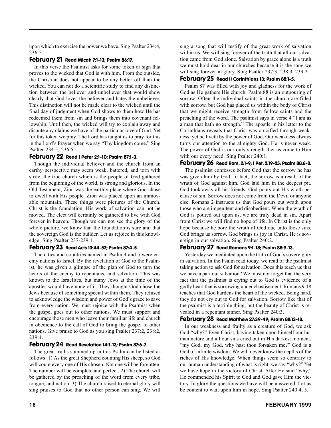upon which to exercise the power we have. Sing Psalter 234:4, 236:5.

#### February 21 Read Micah 7:1-13; Psalm 86:17.

In this verse the Psalmist asks for some token or sign that proves to the wicked that God is with him. From the outside, the Christian does not appear to be any better off than the wicked. You can not do a scientific study to find any distinction between the believer and unbeliever that would show clearly that God loves the believer and hates the unbeliever. This distinction will not be made clear to the wicked until the final day of judgment when God shows to them how He has redeemed them from sin and brings them into covenant fellowship. Until then, the wicked will try to explain away and dispute any claims we have of the particular love of God. Yet for this token we pray. The Lord has taught us to pray for this in the Lord's Prayer when we say "Thy kingdom come." Sing Psalter 234:5, 236:5.

#### February 22 Read I Peter 2:1-10; Psalm 87:1-3.

Though the individual believer and the church from an earthy perspective may seem weak, battered, and torn with strife, the true church which is the people of God gathered from the beginning of the world, is strong and glorious. In the Old Testament, Zion was the earthly place where God chose to dwell with His people. Zion was placed upon an immovable mountain. These things were pictures of the Church. Christ is the foundation. His work of salvation can not be moved. The elect will certainly be gathered to live with God forever in heaven. Though we can not see the glory of the whole picture, we know that the foundation is sure and that the sovereign God is the builder. Let us rejoice in this knowledge. Sing Psalter 237-239:1.

#### February 23 Read Acts 13:44-52; Psalm 87:4-5.

The cities and countries named in Psalm 4 and 5 were enemy nations to Israel. By the revelation of God to the Psalmist, he was given a glimpse of the plan of God to turn the hearts of the enemy to repentance and salvation. This was known to the Israelites, but many Jews at the time of the apostles would have none of it. They thought God chose the Jews because of something special within them. They refused to acknowledge the wisdom and power of God's grace to save from every nation. We must rejoice with the Psalmist when the gospel goes out to other nations. We must support and encourage those men who leave their familiar life and church in obedience to the call of God to bring the gospel to other nations. Give praise to God as you sing Psalter 237:2, 238:2, 239:1.

#### February 24 Read Revelation 14:1-13; Psalm 87:6-7.

The great truths summed up in this Psalm can be listed as follows: 1) As the great Shepherd counting His sheep, so God will count every one of His chosen. Not one will be forgotten. The number will be complete and perfect. 2) The church will be gathered by the preaching of the word from every tribe, tongue, and nation. 3) The church raised to eternal glory will sing praises to God that no other person can sing. We will

sing a song that will testify of the great work of salvation within us. We will sing forever of the truth that all our salvation came from God alone. Salvation by grace alone is a truth we must hold dear in our churches because it is the song we will sing forever in glory. Sing Psalter 237:3, 238:3. 239:2.

#### February 25 Read II Corinthians 13; Psalm 88:1-5.

Psalm 87 was filled with joy and gladness for the work of God as He gathers His church. Psalm 88 is an outpouring of sorrow. Often the individual saints in the church are filled with sorrow, but God has placed us within the body of Christ that we might receive strength from fellow saints and the preaching of the word. The psalmist says in verse 4 "I am as a man that hath no strength." The apostle in his letter to the Corinthians reveals that Christ was crucified through weakness, yet he liveth by the power of God. Our weakness always turns our attention to the almighty God. He is never weak. The power of God is our only strength. Let us come to Him with our every need. Sing Psalter 240:1.

#### February 26 Read Rom. 2:1-9; I Pet. 2:19-25; Psalm 88:6-8.

The psalmist confesses before God that the sorrow he has was given him by God. In fact, the sorrow is a result of the wrath of God against him. God laid him in the deepest pit. God took away all his friends. God pours out His wrath because of sin. Sorrow does not come from the Devil or anyone else. Romans 2 instructs us that God pours out wrath upon those who are impenitent and disobedient. When the wrath of God is poured out upon us, we are truly dead in sin. Apart from Christ we will find no hope of life. In Christ is the only hope because he bore the wrath of God due unto those sins. God brings us sorrow. God brings us joy in Christ. He is sovereign in our salvation. Sing Psalter 240:2.

#### February 27 Read Romans 9:1-18; Psalm 88:9-13.

Yesterday we meditated upon the truth of God's sovereignty in salvation. In the Psalm read today, we read of the psalmist taking action to ask God for salvation. Does this teach us that we have a part our salvation? We must not forget that the very fact that the psalmist is crying out to God is evidence of a godly heart that is sorrowing under chastisement. Romans 9:18 teaches that God hardens the heart of the wicked. Being hard, they do not cry out to God for salvation. Sorrow like that of the psalmist is a terrible thing, but the beauty of Christ is revealed in a repentant sinner. Sing Psalter 240:3.

#### February 28 Read Matthew 27:39-49; Psalm 88:13-18.

In our weakness and frailty as a creature of God, we ask God "why?" Even Christ, having taken upon himself our human nature and all our sins cried out in His darkest moment, "my God, my God, why hast thou forsaken me?" God is a God of infinite wisdom. We will never know the depths of the riches of His knowledge. When things seem so contrary to our human understanding of what is right, we say "why?" Yet we have hope in the victory of Christ. After He said "why," He commended his Spirit to God and God gave Him the victory. In glory the questions we have will be answered. Let us be content to wait upon him in hope. Sing Psalter 240:4, 5.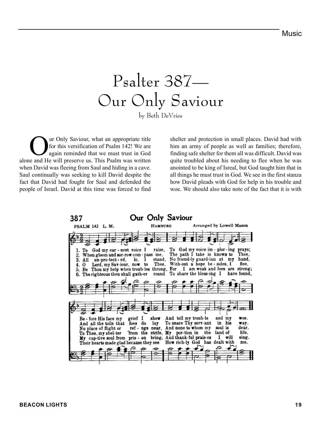## Psalter 387— Our Only Saviour

by Beth DeVries

Our Only Saviour, what an appropriate title for this versification of Psalm 142! We are again reminded that we must trust in God alone and He will preserve us. This Psalm was written when David was fleeing from Saul and hiding in a cave. Saul continually was seeking to kill David despite the fact that David had fought for Saul and defended the people of Israel. David at this time was forced to find

shelter and protection in small places. David had with him an army of people as well as families; therefore, finding safe shelter for them all was difficult. David was quite troubled about his needing to flee when he was anointed to be king of Isreal, but God taught him that in all things he must trust in God. We see in the first stanza how David pleads with God for help in his trouble and woe. We should also take note of the fact that it is with

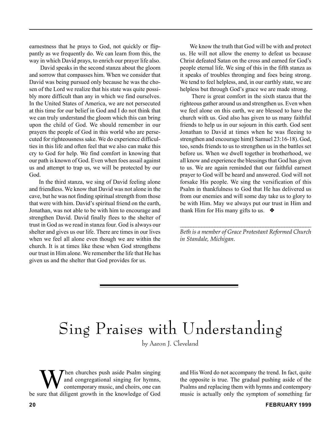earnestness that he prays to God, not quickly or flippantly as we frequently do. We can learn from this, the way in which David prays, to enrich our prayer life also.

 David speaks in the second stanza about the gloom and sorrow that compasses him. When we consider that David was being pursued only because he was the chosen of the Lord we realize that his state was quite possibly more difficult than any in which we find ourselves. In the United States of America, we are not persecuted at this time for our belief in God and I do not think that we can truly understand the gloom which this can bring upon the child of God. We should remember in our prayers the people of God in this world who are persecuted for righteousness sake. We do experience difficulties in this life and often feel that we also can make this cry to God for help. We find comfort in knowing that our path is known of God. Even when foes assail against us and attempt to trap us, we will be protected by our God.

In the third stanza, we sing of David feeling alone and friendless. We know that David was not alone in the cave, but he was not finding spiritual strength from those that were with him. David's spiritual friend on the earth, Jonathan, was not able to be with him to encourage and strengthen David. David finally flees to the shelter of trust in God as we read in stanza four. God is always our shelter and gives us our life. There are times in our lives when we feel all alone even though we are within the church. It is at times like these when God strengthens our trust in Him alone. We remember the life that He has given us and the shelter that God provides for us.

We know the truth that God will be with and protect us. He will not allow the enemy to defeat us because Christ defeated Satan on the cross and earned for God's people eternal life. We sing of this in the fifth stanza as it speaks of troubles thronging and foes being strong. We tend to feel helpless, and, in our earthly state, we are helpless but through God's grace we are made strong.

 There is great comfort in the sixth stanza that the righteous gather around us and strengthen us. Even when we feel alone on this earth, we are blessed to have the church with us. God also has given to us many faithful friends to help us in our sojourn in this earth. God sent Jonathan to David at times when he was fleeing to strengthen and encourage him(I Samuel 23:16-18). God, too, sends friends to us to strengthen us in the battles set before us. When we dwell together in brotherhood, we all know and experience the blessings that God has given to us. We are again reminded that our faithful earnest prayer to God will be heard and answered. God will not forsake His people. We sing the versification of this Psalm in thankfulness to God that He has delivered us from our enemies and will some day take us to glory to be with Him. May we always put our trust in Him and thank Him for His many gifts to us.  $\triangle$ 

*\_\_\_\_\_\_\_\_\_\_\_\_\_\_\_\_\_\_\_\_\_\_\_\_\_\_\_\_\_\_\_\_\_\_\_\_\_\_\_\_\_\_\_\_\_\_\_\_\_ Beth is a member of Grace Protestant Reformed Church in Standale, Michigan.*

## Sing Praises with Understanding

by Aaron J. Cleveland

When churches push aside Psalm singing<br>and congregational singing for hymns,<br>contemporary music, and choirs, one can<br>ure that diligent growth in the knowledge of God and congregational singing for hymns, contemporary music, and choirs, one can be sure that diligent growth in the knowledge of God

and His Word do not accompany the trend. In fact, quite the opposite is true. The gradual pushing aside of the Psalms and replacing them with hymns and contempory music is actually only the symptom of something far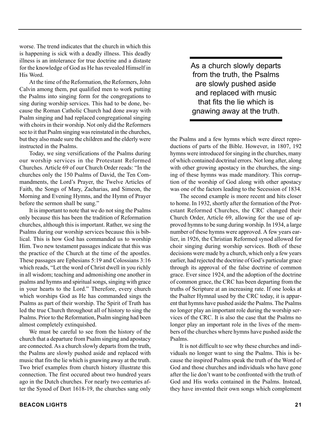worse. The trend indicates that the church in which this is happening is sick with a deadly illness. This deadly illness is an intolerance for true doctrine and a distaste for the knowledge of God as He has revealed Himself in His Word.

At the time of the Reformation, the Reformers, John Calvin among them, put qualified men to work putting the Psalms into singing form for the congregations to sing during worship services. This had to be done, because the Roman Catholic Church had done away with Psalm singing and had replaced congregational singing with choirs in their worship. Not only did the Reformers see to it that Psalm singing was reinstated in the churches, but they also made sure the children and the elderly were instructed in the Psalms.

Today, we sing versifications of the Psalms during our worship services in the Protestant Reformed Churches. Article 69 of our Church Order reads: "In the churches only the 150 Psalms of David, the Ten Commandments, the Lord's Prayer, the Twelve Articles of Faith, the Songs of Mary, Zacharias, and Simeon, the Morning and Evening Hymns, and the Hymn of Prayer before the sermon shall be sung."

It is important to note that we do not sing the Psalms only because this has been the tradition of Reformation churches, although this is important. Rather, we sing the Psalms during our worship services because this is biblical. This is how God has commanded us to worship Him. Two new testament passages indicate that this was the practice of the Church at the time of the apostles. These passages are Ephesians 5:19 and Colossians 3:16 which reads, "Let the word of Christ dwell in you richly in all wisdom; teaching and admonishing one another in psalms and hymns and spiritual songs, singing with grace in your hearts to the Lord." Therefore, every church which worships God as He has commanded sings the Psalms as part of their worship. The Spirit of Truth has led the true Church throughout all of history to sing the Psalms. Prior to the Reformation, Psalm singing had been almost completely extinquished.

We must be careful to see from the history of the church that a departure from Psalm singing and apostacy are connected. As a church slowly departs from the truth, the Psalms are slowly pushed aside and replaced with music that fits the lie which is gnawing away at the truth. Two brief examples from church history illustrate this connection. The first occured about two hundred years ago in the Dutch churches. For nearly two centuries after the Synod of Dort 1618-19, the churches sang only

As a church slowly departs from the truth, the Psalms are slowly pushed aside and replaced with music that fits the lie which is gnawing away at the truth.

the Psalms and a few hymns which were direct reproductions of parts of the Bible. However, in 1807, 192 hymns were introduced for singing in the churches, many of which contained doctrinal errors. Not long after, along with other growing apostacy in the churches, the singing of these hymns was made manditory. This corruption of the worship of God along with other apostacy was one of the factors leading to the Secession of 1834.

The second example is more recent and hits closer to home. In 1932, shortly after the formation of the Protestant Reformed Churches, the CRC changed their Church Order, Article 69, allowing for the use of approved hymns to be sung during worship. In 1934, a large number of these hymns were approved. A few years earlier, in 1926, the Christian Reformed synod allowed for choir singing during worship services. Both of these decisions were made by a church, which only a few years earlier, had rejected the doctrine of God's particular grace through its approval of the false doctrine of common grace. Ever since 1924, and the adoption of the doctrine of common grace, the CRC has been departing from the truths of Scripture at an increasing rate. If one looks at the Psalter Hymnal used by the CRC today, it is apparent that hymns have pushed aside the Psalms. The Psalms no longer play an important role during the worship services of the CRC. It is also the case that the Psalms no longer play an important role in the lives of the members of the churches where hymns have pushed aside the Psalms.

It is not difficult to see why these churches and individuals no longer want to sing the Psalms. This is because the inspired Psalms speak the truth of the Word of God and those churches and individuals who have gone after the lie don't want to be confronted with the truth of God and His works contained in the Psalms. Instead, they have invented their own songs which complement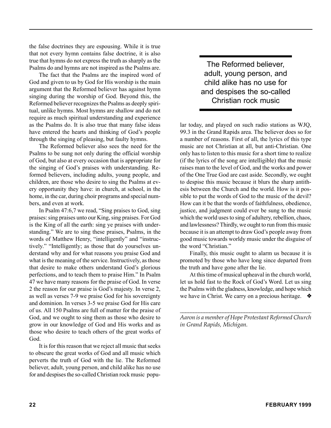the false doctrines they are espousing. While it is true that not every hymn contains false doctrine, it is also true that hymns do not express the truth as sharply as the Psalms do and hymns are not inspired as the Psalms are.

The fact that the Psalms are the inspired word of God and given to us by God for His worship is the main argument that the Reformed believer has against hymn singing during the worship of God. Beyond this, the Reformed believer recognizes the Psalms as deeply spiritual, unlike hymns. Most hymns are shallow and do not require as much spiritual understanding and experience as the Psalms do. It is also true that many false ideas have entered the hearts and thinking of God's people through the singing of pleasing, but faulty hymns.

The Reformed believer also sees the need for the Psalms to be sung not only during the official worship of God, but also at every occasion that is appropriate for the singing of God's praises with understanding. Reformed believers, including adults, young people, and children, are those who desire to sing the Psalms at every opportunity they have: in church, at school, in the home, in the car, during choir programs and special numbers, and even at work.

In Psalm 47:6,7 we read, "Sing praises to God, sing praises: sing praises unto our King, sing praises. For God is the King of all the earth: sing ye praises with understanding." We are to sing these praises, Psalms, in the words of Matthew Henry, "intelligently" and "instructively." "Intelligently; as those that do yourselves understand why and for what reasons you praise God and what is the meaning of the service. Instructively, as those that desire to make others understand God's glorious perfections, and to teach them to praise Him." In Psalm 47 we have many reasons for the praise of God. In verse 2 the reason for our praise is God's majesty. In verse 2, as well as verses 7-9 we praise God for his sovereignty and dominion. In verses 3-5 we praise God for His care of us. All 150 Psalms are full of matter for the praise of God, and we ought to sing them as those who desire to grow in our knowledge of God and His works and as those who desire to teach others of the great works of God.

It is for this reason that we reject all music that seeks to obscure the great works of God and all music which perverts the truth of God with the lie. The Reformed believer, adult, young person, and child alike has no use for and despises the so-called Christian rock music popu-

The Reformed believer, adult, young person, and child alike has no use for and despises the so-called Christian rock music

lar today, and played on such radio stations as WJQ, 99.3 in the Grand Rapids area. The believer does so for a number of reasons. First of all, the lyrics of this type music are not Christian at all, but anti-Christian. One only has to listen to this music for a short time to realize (if the lyrics of the song are intelligible) that the music raises man to the level of God, and the works and power of the One True God are cast aside. Secondly, we ought to despise this music because it blurs the sharp antithesis between the Church and the world. How is it possible to put the words of God to the music of the devil? How can it be that the words of faithfulness, obedience, justice, and judgment could ever be sung to the music which the world uses to sing of adultery, rebellion, chaos, and lawlessness? Thirdly, we ought to run from this music because it is an attempt to draw God's people away from good music towards worldy music under the disguise of the word "Christian."

Finally, this music ought to alarm us because it is promoted by those who have long since departed from the truth and have gone after the lie.

At this time of musical upheaval in the church world, let us hold fast to the Rock of God's Word. Let us sing the Psalms with the gladness, knowledge, and hope which we have in Christ. We carry on a precious heritage. ❖

*\_\_\_\_\_\_\_\_\_\_\_\_\_\_\_\_\_\_\_\_\_\_\_\_\_\_\_\_\_\_\_\_\_\_\_\_\_\_\_\_\_\_\_\_\_\_\_\_\_ Aaron is a member of Hope Protestant Reformed Church in Grand Rapids, Michigan.*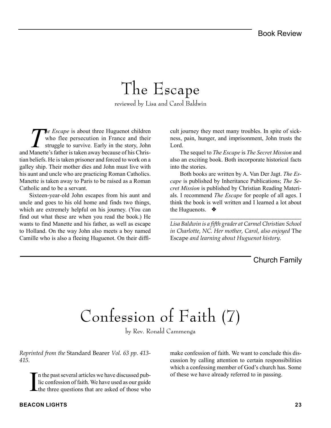## The Escape

reviewed by Lisa and Carol Baldwin

**The Escape** is about three Huguenot children who flee persecution in France and their struggle to survive. Early in the story, John and Manette's father is taken away because of his Christian beliefs. He is taken prisoner and forced to work on a galley ship. Their mother dies and John must live with his aunt and uncle who are practicing Roman Catholics. Manette is taken away to Paris to be raised as a Roman Catholic and to be a servant.

Sixteen-year-old John escapes from his aunt and uncle and goes to his old home and finds two things, which are extremely helpful on his journey. (You can find out what these are when you read the book.) He wants to find Manette and his father, as well as escape to Holland. On the way John also meets a boy named Camille who is also a fleeing Huguenot. On their difficult journey they meet many troubles. In spite of sickness, pain, hunger, and imprisonment, John trusts the Lord.

The sequel to *The Escape* is *The Secret Mission* and also an exciting book. Both incorporate historical facts into the stories.

Both books are written by A. Van Der Jagt. *The Escape* is published by Inheritance Publications; *The Secret Mission* is published by Christian Reading Materials. I recommend *The Escape* for people of all ages. I think the book is well written and I learned a lot about the Huguenots. ❖

*Lisa Baldwin is a fifth grader at Carmel Christian School in Charlotte, NC. Her mother, Carol, also enjoyed* The Escape *and learning about Huguenot history.*

*\_\_\_\_\_\_\_\_\_\_\_\_\_\_\_\_\_\_\_\_\_\_\_\_\_\_\_\_\_\_\_\_\_\_\_\_\_\_\_\_\_\_\_\_\_\_*

#### Church Family

## Confession of Faith (7)

by Rev. Ronald Cammenga

*Reprinted from the* Standard Bearer *Vol. 63 pp. 413- 415.*

I n the past several articles we have discussed public confession of faith. We have used as our guide the three questions that are asked of those who

make confession of faith. We want to conclude this discussion by calling attention to certain responsibilities which a confessing member of God's church has. Some of these we have already referred to in passing.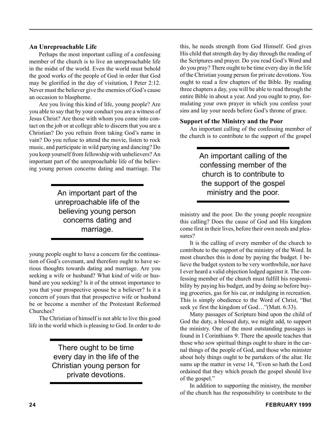#### **An Unreproachable Life**

Perhaps the most important calling of a confessing member of the church is to live an unreproachable life in the midst of the world. Even the world must behold the good works of the people of God in order that God may be glorified in the day of visitation, I Peter 2:12. Never must the believer give the enemies of God's cause an occasion to blaspheme.

Are you living this kind of life, young people? Are you able to say that by your conduct you are a witness of Jesus Christ? Are those with whom you come into contact on the job or at college able to discern that you are a Christian? Do you refrain from taking God's name in vain? Do you refuse to attend the movie, listen to rock music, and participate in wild partying and dancing? Do you keep yourself from fellowship with unbelievers? An important part of the unreproachable life of the believing young person concerns dating and marriage. The

> An important part of the ministry and the poor. unreproachable life of the believing young person concerns dating and marriage.

young people ought to have a concern for the continuation of God's covenant, and therefore ought to have serious thoughts towards dating and marriage. Are you seeking a wife or husband? What kind of wife or husband are you seeking? Is it of the utmost importance to you that your prospective spouse be a believer? Is it a concern of yours that that prospective wife or husband be or become a member of the Protestant Reformed Churches?

The Christian of himself is not able to live this good life in the world which is pleasing to God. In order to do

> There ought to be time every day in the life of the Christian young person for private devotions.

this, he needs strength from God Himself. God gives His child that strength day by day through the reading of the Scriptures and prayer. Do you read God's Word and do you pray? There ought to be time every day in the life of the Christian young person for private devotions. You ought to read a few chapters of the Bible. By reading three chapters a day, you will be able to read through the entire Bible in about a year. And you ought to pray, formulating your own prayer in which you confess your sins and lay your needs before God's throne of grace.

#### **Support of the Ministry and the Poor**

An important calling of the confessing member of the church is to contribute to the support of the gospel

> An important calling of the confessing member of the church is to contribute to the support of the gospel

ministry and the poor. Do the young people recognize this calling? Does the cause of God and His kingdom come first in their lives, before their own needs and pleasures?

It is the calling of every member of the church to contribute to the support of the ministry of the Word. In most churches this is done by paying the budget. I believe the budget system to be very worthwhile, nor have I ever heard a valid objection lodged against it. The confessing member of the church must fulfill his responsibility by paying his budget, and by doing so before buying groceries, gas for his car, or indulging in recreation. This is simply obedience to the Word of Christ, "But seek ye first the kingdom of God…"(Matt. 6:33).

Many passages of Scripture bind upon the child of God the duty, a blessed duty, we might add, to support the ministry. One of the most outstanding passages is found in I Corinthians 9. There the apostle teaches that those who sow spiritual things ought to share in the carnal things of the people of God, and those who minister about holy things ought to be partakers of the altar. He sums up the matter in verse 14, "Even so hath the Lord ordained that they which preach the gospel should live of the gospel."

In addition to supporting the ministry, the member of the church has the responsibility to contribute to the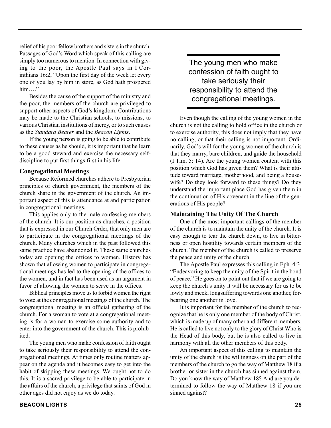relief of his poor fellow brothers and sisters in the church. Passages of God's Word which speak of this calling are simply too numerous to mention. In connection with giving to the poor, the Apostle Paul says in I Corinthians 16:2, "Upon the first day of the week let every one of you lay by him in store, as God hath prospered him…."

Besides the cause of the support of the ministry and the poor, the members of the church are privileged to support other aspects of God's kingdom. Contributions may be made to the Christian schools, to missions, to various Christian institutions of mercy, or to such causes as the *Standard Bearer* and the *Beacon Lights*.

If the young person is going to be able to contribute to these causes as he should, it is important that he learn to be a good steward and exercise the necessary selfdiscipline to put first things first in his life.

#### **Congregational Meetings**

Because Reformed churches adhere to Presbyterian principles of church government, the members of the church share in the government of the church. An important aspect of this is attendance at and participation in congregational meetings.

This applies only to the male confessing members of the church. It is our position as churches, a position that is expressed in our Church Order, that only men are to participate in the congregational meetings of the church. Many churches which in the past followed this same practice have abandoned it. These same churches today are opening the offices to women. History has shown that allowing women to participate in congregational meetings has led to the opening of the offices to the women, and in fact has been used as an argument in favor of allowing the women to serve in the offices.

Biblical principles move us to forbid women the right to vote at the congregational meetings of the church. The congregational meeting is an official gathering of the church. For a woman to vote at a congregational meeting is for a woman to exercise some authority and to enter into the government of the church. This is prohibited.

The young men who make confession of faith ought to take seriously their responsibility to attend the congregational meetings. At times only routine matters appear on the agenda and it becomes easy to get into the habit of skipping these meetings. We ought not to do this. It is a sacred privilege to be able to participate in the affairs of the church, a privilege that saints of God in other ages did not enjoy as we do today.

The young men who make confession of faith ought to take seriously their responsibility to attend the congregational meetings.

Even though the calling of the young women in the church is not the calling to hold office in the church or to exercise authority, this does not imply that they have no calling, or that their calling is not important. Ordinarily, God's will for the young women of the church is that they marry, bare children, and guide the household (I Tim. 5: 14). Are the young women content with this position which God has given them? What is their attitude toward marriage, motherhood, and being a housewife? Do they look forward to these things? Do they understand the important place God has given them in the continuation of His covenant in the line of the generations of His people?

#### **Maintaining The Unity Of The Church**

One of the most important callings of the member of the church is to maintain the unity of the church. It is easy enough to tear the church down, to live in bitterness or open hostility towards certain members of the church. The member of the church is called to preserve the peace and unity of the church.

The Apostle Paul expresses this calling in Eph. 4:3, "Endeavoring to keep the unity of the Spirit in the bond of peace." He goes on to point out that if we are going to keep the church's unity it will be necessary for us to be lowly and meek, longsuffering towards one another, forbearing one another in love.

It is important for the member of the church to recognize that he is only one member of the body of Christ, which is made up of many other and different members. He is called to live not only to the glory of Christ Who is the Head of this body, but he is also called to live in harmony with all the other members of this body.

An important aspect of this calling to maintain the unity of the church is the willingness on the part of the members of the church to go the way of Matthew 18 if a brother or sister in the church has sinned against them. Do you know the way of Matthew 18? And are you determined to follow the way of Matthew 18 if you are sinned against?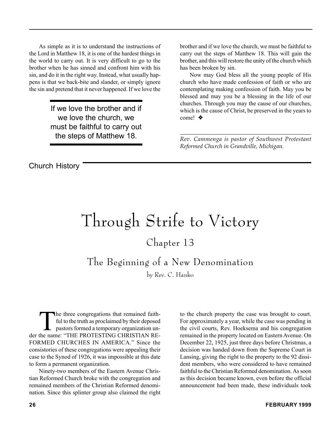As simple as it is to understand the instructions of the Lord in Matthew 18, it is one of the hardest things in the world to carry out. It is very difficult to go to the brother when he has sinned and confront him with his sin, and do it in the right way. Instead, what usually happens is that we back-bite and slander, or simply ignore the sin and pretend that it never happened. If we love the

> If we love the brother and if we love the church, we must be faithful to carry out the steps of Matthew 18.

brother and if we love the church, we must be faithful to carry out the steps of Matthew 18. This will gain the brother, and this will restore the unity of the church which has been broken by sin.

Now may God bless all the young people of His church who have made confession of faith or who are contemplating making confession of faith. May you be blessed and may you be a blessing in the life of our churches. Through you may the cause of our churches, which is the cause of Christ, be preserved in the years to come! ❖

*\_\_\_\_\_\_\_\_\_\_\_\_\_\_\_\_\_\_\_\_\_\_\_\_\_\_\_\_\_\_\_\_\_\_\_\_\_\_\_\_\_\_\_\_\_\_\_\_\_ Rev. Cammenga is pastor of Southwest Protestant Reformed Church in Grandville, Michigan.*

Church History

# Through Strife to Victory

### Chapter 13

The Beginning of a New Denomination

by Rev. C. Hanko

The three congregations that remained faith-<br>ful to the truth as proclaimed by their deposed<br>pastors formed a temporary organization un-<br>the name: "THE PROTESTING CHRISTIAN RE ful to the truth as proclaimed by their deposed pastors formed a temporary organization under the name: "THE PROTESTING CHRISTIAN RE-FORMED CHURCHES IN AMERICA." Since the consistories of these congregations were appealing their case to the Synod of 1926, it was impossible at this date to form a permanent organization.

Ninety-two members of the Eastern Avenue Christian Reformed Church broke with the congregation and remained members of the Christian Reformed denomination. Since this splinter group also claimed the right to the church property the case was brought to court. For approximately a year, while the case was pending in the civil courts, Rev. Hoeksema and his congregation remained in the property located on Eastern Avenue. On December 22, 1925, just three days before Christmas, a decision was handed down from the Supreme Court in Lansing, giving the right to the property to the 92 dissident members, who were considered to have remained faithful to the Christian Reformed denomination. As soon as this decision became known, even before the official announcement had been made, these individuals took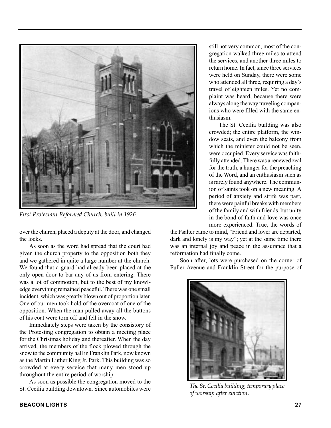

*First Protestant Reformed Church, built in 1926.*

over the church, placed a deputy at the door, and changed the locks.

As soon as the word had spread that the court had given the church property to the opposition both they and we gathered in quite a large number at the church. We found that a guard had already been placed at the only open door to bar any of us from entering. There was a lot of commotion, but to the best of my knowledge everything remained peaceful. There was one small incident, which was greatly blown out of proportion later. One of our men took hold of the overcoat of one of the opposition. When the man pulled away all the buttons of his coat were torn off and fell in the snow.

Immediately steps were taken by the consistory of the Protesting congregation to obtain a meeting place for the Christmas holiday and thereafter. When the day arrived, the members of the flock plowed through the snow to the community hall in Franklin Park, now known as the Martin Luther King Jr. Park. This building was so crowded at every service that many men stood up throughout the entire period of worship.

As soon as possible the congregation moved to the St. Cecilia building downtown. Since automobiles were still not very common, most of the congregation walked three miles to attend the services, and another three miles to return home. In fact, since three services were held on Sunday, there were some who attended all three, requiring a day's travel of eighteen miles. Yet no complaint was heard, because there were always along the way traveling companions who were filled with the same enthusiasm.

The St. Cecilia building was also crowded; the entire platform, the window seats, and even the balcony from which the minister could not be seen. were occupied. Every service was faithfully attended. There was a renewed zeal for the truth, a hunger for the preaching of the Word, and an enthusiasm such as is rarely found anywhere. The communion of saints took on a new meaning. A period of anxiety and strife was past, there were painful breaks with members of the family and with friends, but unity in the bond of faith and love was once more experienced. True, the words of

the Psalter came to mind, "Friend and lover are departed, dark and lonely is my way"; yet at the same time there was an internal joy and peace in the assurance that a reformation had finally come.

Soon after, lots were purchased on the corner of Fuller Avenue and Franklin Street for the purpose of



*The St. Cecilia building, temporary place of worship after eviction.*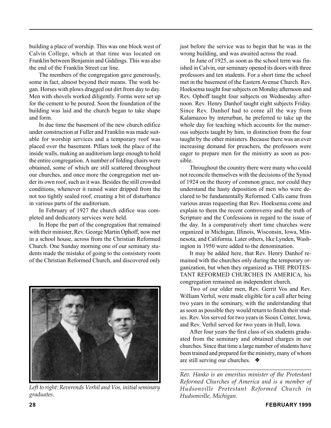building a place of worship. This was one block west of Calvin College, which at that time was located on Franklin between Benjamin and Giddings. This was also the end of the Franklin Street car line.

The members of the congregation gave generously, some in fact, almost beyond their means. The work began. Horses with plows dragged out dirt from day to day. Men with shovels worked diligently. Forms were set up for the cement to be poured. Soon the foundation of the building was laid and the church began to take shape and form.

In due time the basement of the new church edifice under construction at Fuller and Franklin was made suitable for worship services and a temporary roof was placed over the basement. Pillars took the place of the inside walls, making an auditorium large enough to hold the entire congregation. A number of folding chairs were obtained, some of which are still scattered throughout our churches, and once more the congregation met under its own roof, such as it was. Besides the still crowded conditions, whenever it rained water dripped from the not too tightly sealed roof, creating a bit of disturbance in various parts of the auditorium.

In February of 1927 the church edifice was completed and dedicatory services were held.

In Hope the part of the congregation that remained with their minister, Rev. George Martin Ophoff, now met in a school house, across from the Christian Reformed Church. One Sunday morning one of our seminary students made the mistake of going to the consistory room of the Christian Reformed Church, and discovered only



*Left to right: Reverends Verhil and Vos, initial seminary graduates.*

just before the service was to begin that he was in the wrong building, and was awaited across the road.

In June of 1925, as soon as the school term was finished in Calvin, our seminary opened its doors with three professors and ten students. For a short time the school met in the basement of the Eastern Avenue Church. Rev. Hoeksema taught four subjects on Monday afternoon and Rev. Ophoff taught four subjects on Wednesday afternoon. Rev. Henry Danhof taught eight subjects Friday. Since Rev. Danhof had to come all the way from Kalamazoo by interurban, he preferred to take up the whole day for teaching which accounts for the numerous subjects taught by him, in distinction from the four taught by the other ministers. Because there was an ever increasing demand for preachers, the professors were eager to prepare men for the ministry as soon as possible.

Throughout the country there were many who could not reconcile themselves with the decisions of the Synod of 1924 on the theory of common grace, nor could they understand the hasty deposition of men who were declared to be fundamentally Reformed. Calls came from various areas requesting that Rev. Hoeksema come and explain to them the recent controversy and the truth of Scripture and the Confessions in regard to the issue of the day. In a comparatively short time churches were organized in Michigan, Illinois, Wisconsin, Iowa, Minnesota, and California. Later others, like Lynden, Washington in 1950 were added to the denomination.

It may be added here, that Rev. Henry Danhof remained with the churches only during the temporary organization, but when they organized as THE PROTES-TANT REFORMED CHURCHES IN AMERICA, his congregation remained an independent church.

Two of our older men, Rev. Gerrit Vos and Rev. William Verhil, were made eligible for a call after being two years in the seminary, with the understanding that as soon as possible they would return to finish their studies. Rev. Vos served for two years in Sioux Center, Iowa, and Rev. Verhil served for two years in Hull, Iowa.

After four years the first class of six students graduated from the seminary and obtained charges in our churches. Since that time a large number of students have been trained and prepared for the ministry, many of whom are still serving our churches. ❖

*Rev. Hanko is an emeritus minister of the Protestant Reformed Churches of America and is a member of Hudsonville Protestant Reformed Church in Hudsonville, Michigan.*

*\_\_\_\_\_\_\_\_\_\_\_\_\_\_\_\_\_\_\_\_\_\_\_\_\_\_\_\_\_\_\_\_\_\_\_\_\_\_\_\_\_\_\_\_\_\_\_\_\_*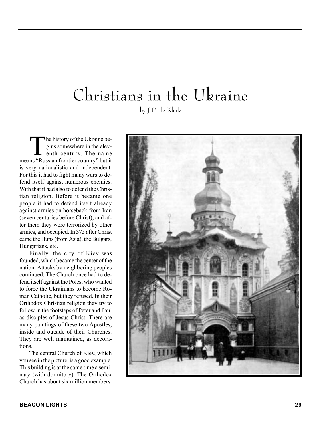### Christians in the Ukraine by J.P. de Klerk

The history of the Ukraine be-<br>gins somewhere in the elev-<br>enth century. The name gins somewhere in the elevmeans "Russian frontier country" but it is very nationalistic and independent. For this it had to fight many wars to defend itself against numerous enemies. With that it had also to defend the Christian religion. Before it became one people it had to defend itself already against armies on horseback from Iran (seven centuries before Christ), and after them they were terrorized by other armies, and occupied. In 375 after Christ came the Huns (from Asia), the Bulgars, Hungarians, etc.

Finally, the city of Kiev was founded, which became the center of the nation. Attacks by neighboring peoples continued. The Church once had to defend itself against the Poles, who wanted to force the Ukrainians to become Roman Catholic, but they refused. In their Orthodox Christian religion they try to follow in the footsteps of Peter and Paul as disciples of Jesus Christ. There are many paintings of these two Apostles, inside and outside of their Churches. They are well maintained, as decorations.

The central Church of Kiev, which you see in the picture, is a good example. This building is at the same time a seminary (with dormitory). The Orthodox Church has about six million members.

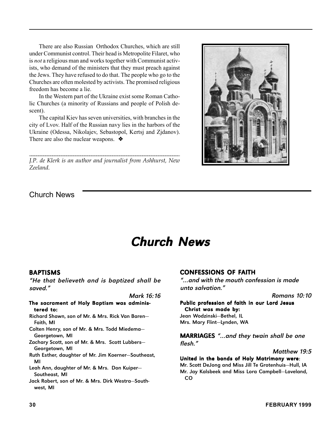There are also Russian Orthodox Churches, which are still under Communist control. Their head is Metropolite Filaret, who is *not* a religious man and works together with Communist activists, who demand of the ministers that they must preach against the Jews. They have refused to do that. The people who go to the Churches are often molested by activists. The promised religious freedom has become a lie.

In the Western part of the Ukraine exist some Roman Catholic Churches (a minority of Russians and people of Polish descent).

The capital Kiev has seven universities, with branches in the city of Lvov. Half of the Russian navy lies in the harbors of the Ukraine (Odessa, Nikolajev, Sebastopol, Kertsj and Zjdanov). There are also the nuclear weapons. ❖

*\_\_\_\_\_\_\_\_\_\_\_\_\_\_\_\_\_\_\_\_\_\_\_\_\_\_\_\_\_\_\_\_\_\_\_\_\_\_\_\_\_\_\_\_\_\_\_\_\_\_\_\_\_\_\_\_\_\_\_\_\_\_\_\_\_ J.P. de Klerk is an author and journalist from Ashhurst, New Zeeland.*



### Church News

### **Church News**

#### BAPTISMS

"He that believeth and is baptized shall be saved."

Mark 16:16

#### The sacrament of Holy Baptism was administered to:

Richard Shawn, son of Mr. & Mrs. Rick Van Baren— Faith, MI

- Colten Henry, son of Mr. & Mrs. Todd Miedema— Georgetown, MI
- Zachary Scott, son of Mr. & Mrs. Scott Lubbers— Georgetown, MI
- Ruth Esther, daughter of Mr. Jim Koerner—Southeast, MI

Leah Ann, daughter of Mr. & Mrs. Don Kuiper— Southeast, MI

Jack Robert, son of Mr. & Mrs. Dirk Westra—Southwest, MI

#### CONFESSIONS OF FAITH

"…and with the mouth confession is made unto salvation."

Romans 10:10

#### Public profession of faith in our Lord Jesus Christ was made by:

Jean Wodzinski—Bethel, IL Mrs. Mary Flint—Lynden, WA

MARRIAGES "…and they twain shall be one flesh."

Matthew 19:5

United in the bonds of Holy Matrimony were: Mr. Scott DeJong and Miss Jill Te Grotenhuis—Hull, IA Mr. Jay Kalsbeek and Miss Lora Campbell—Loveland, CO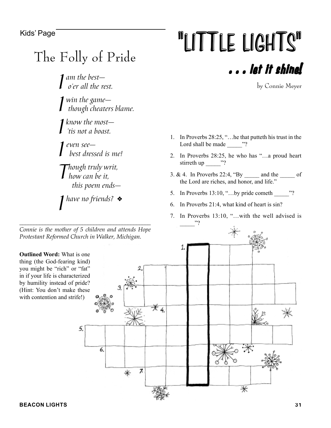### The Folly of Pride

*<i>I* am the best—<br><sup>*o*'er all the re</sup> *o'er all the rest.*

*I win the game though cheaters blame.*

*I know the most— 'tis not a boast.*

*I even see best dressed is me!*

*Though truly writ, how can be it, this poem ends—*

*I have no friends?* ❖

*\_\_\_\_\_\_\_\_\_\_\_\_\_\_\_\_\_\_\_\_\_\_\_\_\_\_\_\_\_\_\_\_\_\_\_\_\_\_\_\_\_\_\_\_\_\_ Connie is the mother of 5 children and attends Hope Protestant Reformed Church in Walker, Michigan.*

Kids' Page **The LIGHTS** For the LIGHTS For the LIGHTS . . . let it shine!

by Connie Meyer

- 1. In Proverbs 28:25, "…he that putteth his trust in the Lord shall be made  $\qquad$  "?
- 2. In Proverbs 28:25, he who has "…a proud heart stirreth up  $\frac{m}{2}$ ?
- 3. & 4. In Proverbs 22:4, "By \_\_\_\_\_ and the \_\_\_\_\_ of the Lord are riches, and honor, and life."
- 5. In Proverbs 13:10, "…by pride cometh \_\_\_\_\_"?
- 6. In Proverbs 21:4, what kind of heart is sin?
- 7. In Proverbs 13:10, "...with the well advised is \_\_\_\_\_"?